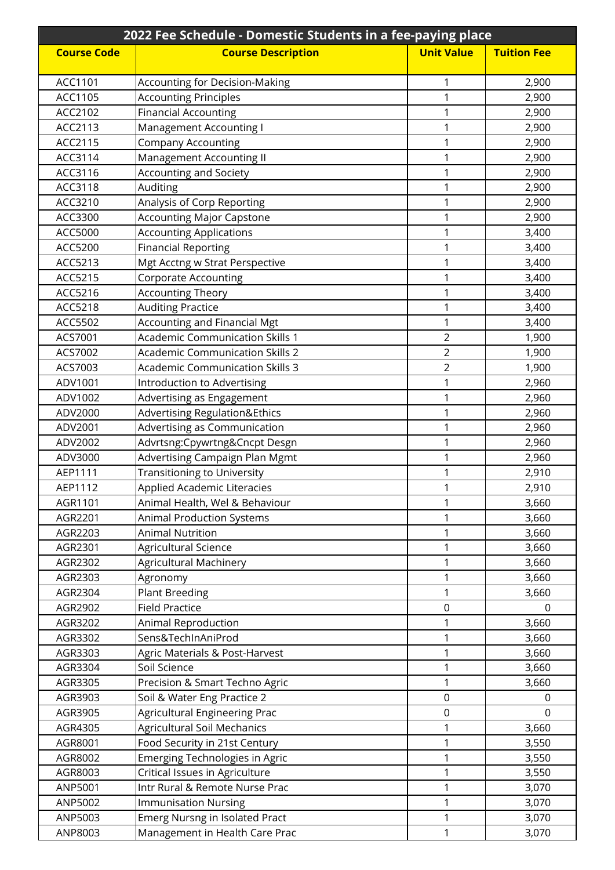| 2022 Fee Schedule - Domestic Students in a fee-paying place |                                        |                   |                    |
|-------------------------------------------------------------|----------------------------------------|-------------------|--------------------|
| <b>Course Code</b>                                          | <b>Course Description</b>              | <b>Unit Value</b> | <b>Tuition Fee</b> |
|                                                             |                                        |                   |                    |
| ACC1101                                                     | <b>Accounting for Decision-Making</b>  | 1                 | 2,900              |
| ACC1105                                                     | <b>Accounting Principles</b>           | 1                 | 2,900              |
| ACC2102                                                     | <b>Financial Accounting</b>            | 1                 | 2,900              |
| ACC2113                                                     | Management Accounting I                | 1                 | 2,900              |
| ACC2115                                                     | <b>Company Accounting</b>              | 1                 | 2,900              |
| ACC3114                                                     | Management Accounting II               | 1                 | 2,900              |
| ACC3116                                                     | <b>Accounting and Society</b>          | 1                 | 2,900              |
| ACC3118                                                     | Auditing                               | 1                 | 2,900              |
| ACC3210                                                     | Analysis of Corp Reporting             | 1                 | 2,900              |
| ACC3300                                                     | <b>Accounting Major Capstone</b>       | 1                 | 2,900              |
| ACC5000                                                     | <b>Accounting Applications</b>         | 1                 | 3,400              |
| ACC5200                                                     | <b>Financial Reporting</b>             | 1                 | 3,400              |
| ACC5213                                                     | Mgt Acctng w Strat Perspective         | 1                 | 3,400              |
| ACC5215                                                     | <b>Corporate Accounting</b>            | 1                 | 3,400              |
| ACC5216                                                     | <b>Accounting Theory</b>               | 1                 | 3,400              |
| ACC5218                                                     | <b>Auditing Practice</b>               | 1                 | 3,400              |
| ACC5502                                                     | <b>Accounting and Financial Mgt</b>    | 1                 | 3,400              |
| ACS7001                                                     | <b>Academic Communication Skills 1</b> | $\overline{2}$    | 1,900              |
| ACS7002                                                     | <b>Academic Communication Skills 2</b> | $\overline{2}$    | 1,900              |
| ACS7003                                                     | <b>Academic Communication Skills 3</b> | $\overline{2}$    | 1,900              |
| ADV1001                                                     | Introduction to Advertising            | 1                 | 2,960              |
| ADV1002                                                     | Advertising as Engagement              | 1                 | 2,960              |
| ADV2000                                                     | Advertising Regulation&Ethics          | 1                 | 2,960              |
| ADV2001                                                     | Advertising as Communication           | 1                 | 2,960              |
| ADV2002                                                     | Advrtsng:Cpywrtng&Cncpt Desgn          | 1                 | 2,960              |
| ADV3000                                                     | Advertising Campaign Plan Mgmt         | 1                 | 2,960              |
| AEP1111                                                     | <b>Transitioning to University</b>     | 1                 | 2,910              |
| AEP1112                                                     | <b>Applied Academic Literacies</b>     | 1                 | 2,910              |
| AGR1101                                                     | Animal Health, Wel & Behaviour         | 1                 | 3,660              |
| AGR2201                                                     | <b>Animal Production Systems</b>       | 1                 | 3,660              |
| AGR2203                                                     | <b>Animal Nutrition</b>                | 1                 | 3,660              |
| AGR2301                                                     | Agricultural Science                   | 1                 | 3,660              |
| AGR2302                                                     | <b>Agricultural Machinery</b>          | 1                 | 3,660              |
| AGR2303                                                     | Agronomy                               | 1                 | 3,660              |
| AGR2304                                                     | <b>Plant Breeding</b>                  | 1                 | 3,660              |
| AGR2902                                                     | <b>Field Practice</b>                  | 0                 | $\Omega$           |
| AGR3202                                                     | Animal Reproduction                    | 1                 | 3,660              |
| AGR3302                                                     | Sens&TechInAniProd                     | 1                 | 3,660              |
| AGR3303                                                     | Agric Materials & Post-Harvest         | 1                 | 3,660              |
| AGR3304                                                     | Soil Science                           | 1                 | 3,660              |
| AGR3305                                                     | Precision & Smart Techno Agric         | 1                 | 3,660              |
| AGR3903                                                     | Soil & Water Eng Practice 2            | 0                 | 0                  |
| AGR3905                                                     | Agricultural Engineering Prac          | 0                 | $\overline{0}$     |
| AGR4305                                                     | <b>Agricultural Soil Mechanics</b>     | 1                 | 3,660              |
| AGR8001                                                     | Food Security in 21st Century          | 1                 | 3,550              |
| AGR8002                                                     | <b>Emerging Technologies in Agric</b>  | 1                 | 3,550              |
| AGR8003                                                     | Critical Issues in Agriculture         | 1                 | 3,550              |
| ANP5001                                                     | Intr Rural & Remote Nurse Prac         | 1                 | 3,070              |
| ANP5002                                                     | <b>Immunisation Nursing</b>            | 1                 | 3,070              |
| ANP5003                                                     | <b>Emerg Nursng in Isolated Pract</b>  | 1                 | 3,070              |
| ANP8003                                                     | Management in Health Care Prac         | 1                 | 3,070              |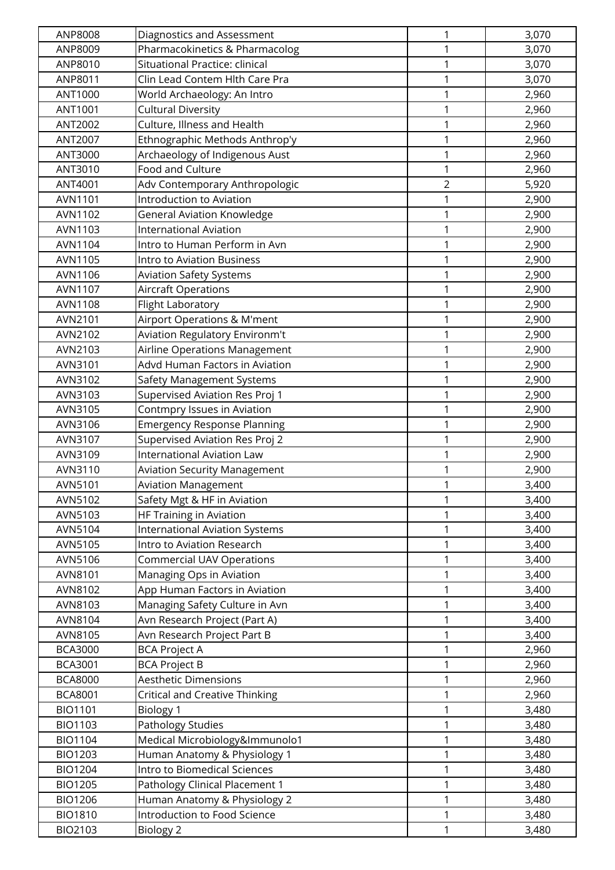| ANP8008        | Diagnostics and Assessment            | 1              | 3,070 |
|----------------|---------------------------------------|----------------|-------|
| ANP8009        | Pharmacokinetics & Pharmacolog        | 1              | 3,070 |
| ANP8010        | Situational Practice: clinical        | $\mathbf{1}$   | 3,070 |
| ANP8011        | Clin Lead Contem Hlth Care Pra        | 1              | 3,070 |
| ANT1000        | World Archaeology: An Intro           | 1              | 2,960 |
| ANT1001        | <b>Cultural Diversity</b>             | 1              | 2,960 |
| ANT2002        | Culture, Illness and Health           | 1              | 2,960 |
| ANT2007        | Ethnographic Methods Anthrop'y        | $\mathbf{1}$   | 2,960 |
| ANT3000        | Archaeology of Indigenous Aust        | 1              | 2,960 |
| ANT3010        | Food and Culture                      | 1              | 2,960 |
| ANT4001        | Adv Contemporary Anthropologic        | $\overline{2}$ | 5,920 |
| AVN1101        | Introduction to Aviation              | 1              | 2,900 |
| AVN1102        | <b>General Aviation Knowledge</b>     | 1              | 2,900 |
| AVN1103        | <b>International Aviation</b>         | 1              | 2,900 |
| AVN1104        | Intro to Human Perform in Avn         | $\mathbf 1$    | 2,900 |
| AVN1105        | <b>Intro to Aviation Business</b>     | 1              | 2,900 |
| AVN1106        | <b>Aviation Safety Systems</b>        | 1              | 2,900 |
| AVN1107        | Aircraft Operations                   | 1              | 2,900 |
| <b>AVN1108</b> | Flight Laboratory                     | 1              | 2,900 |
| AVN2101        | Airport Operations & M'ment           | 1              | 2,900 |
| AVN2102        | Aviation Regulatory Environm't        | 1              | 2,900 |
| AVN2103        | Airline Operations Management         | $\mathbf{1}$   | 2,900 |
| AVN3101        | Advd Human Factors in Aviation        | 1              | 2,900 |
| AVN3102        | Safety Management Systems             | 1              | 2,900 |
| AVN3103        | Supervised Aviation Res Proj 1        | 1              | 2,900 |
| AVN3105        | Contmpry Issues in Aviation           | 1              | 2,900 |
| AVN3106        | <b>Emergency Response Planning</b>    | 1              | 2,900 |
| AVN3107        | Supervised Aviation Res Proj 2        | $\mathbf 1$    | 2,900 |
| AVN3109        | <b>International Aviation Law</b>     | 1              | 2,900 |
| AVN3110        | <b>Aviation Security Management</b>   | 1              | 2,900 |
| AVN5101        | <b>Aviation Management</b>            | 1              | 3,400 |
| AVN5102        | Safety Mgt & HF in Aviation           | 1              | 3,400 |
| AVN5103        | <b>HF Training in Aviation</b>        | 1              | 3,400 |
| AVN5104        | <b>International Aviation Systems</b> | 1              | 3,400 |
| AVN5105        | Intro to Aviation Research            | 1              | 3,400 |
| AVN5106        | <b>Commercial UAV Operations</b>      | 1              | 3,400 |
| AVN8101        | Managing Ops in Aviation              | 1              | 3,400 |
| AVN8102        | App Human Factors in Aviation         | 1              | 3,400 |
| AVN8103        | Managing Safety Culture in Avn        | 1              | 3,400 |
| AVN8104        | Avn Research Project (Part A)         | 1              | 3,400 |
| AVN8105        | Avn Research Project Part B           | 1              | 3,400 |
| <b>BCA3000</b> | <b>BCA Project A</b>                  | 1              | 2,960 |
| <b>BCA3001</b> | <b>BCA Project B</b>                  | 1              | 2,960 |
| <b>BCA8000</b> | <b>Aesthetic Dimensions</b>           | 1              | 2,960 |
| <b>BCA8001</b> | <b>Critical and Creative Thinking</b> | 1              | 2,960 |
| <b>BIO1101</b> | Biology 1                             | 1              | 3,480 |
| <b>BIO1103</b> | Pathology Studies                     | 1              | 3,480 |
| <b>BIO1104</b> | Medical Microbiology&Immunolo1        | 1              | 3,480 |
| <b>BIO1203</b> | Human Anatomy & Physiology 1          | 1              | 3,480 |
| <b>BIO1204</b> | Intro to Biomedical Sciences          | 1              | 3,480 |
| <b>BIO1205</b> | Pathology Clinical Placement 1        | 1              | 3,480 |
| <b>BIO1206</b> | Human Anatomy & Physiology 2          | 1              | 3,480 |
| <b>BIO1810</b> | Introduction to Food Science          | 1              | 3,480 |
| BIO2103        | <b>Biology 2</b>                      | 1              | 3,480 |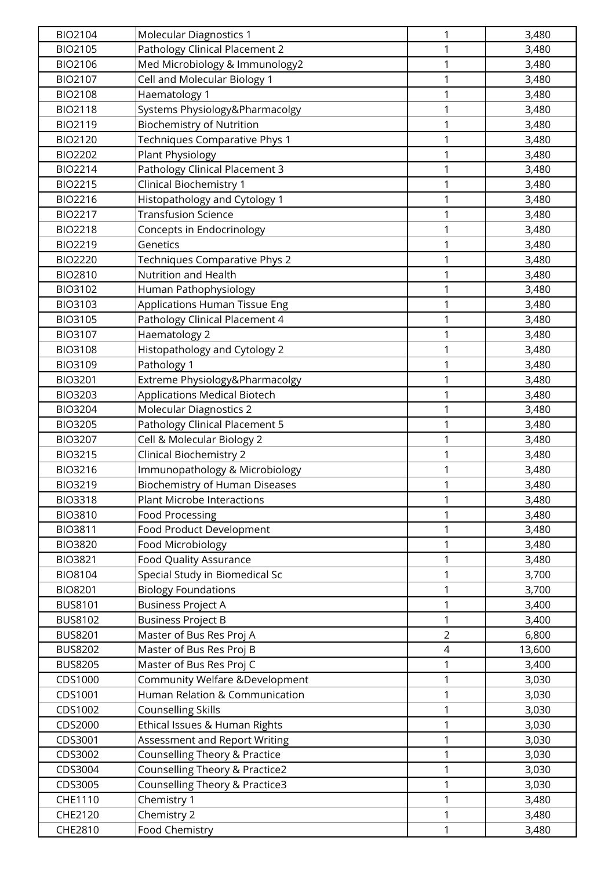| <b>BIO2104</b> | Molecular Diagnostics 1               | $\mathbf 1$    | 3,480  |
|----------------|---------------------------------------|----------------|--------|
| <b>BIO2105</b> | Pathology Clinical Placement 2        | 1              | 3,480  |
| BIO2106        | Med Microbiology & Immunology2        | 1              | 3,480  |
| BIO2107        | Cell and Molecular Biology 1          | 1              | 3,480  |
| <b>BIO2108</b> | Haematology 1                         | 1              | 3,480  |
| <b>BIO2118</b> | Systems Physiology&Pharmacolgy        | $\mathbf 1$    | 3,480  |
| <b>BIO2119</b> | <b>Biochemistry of Nutrition</b>      | $\mathbf 1$    | 3,480  |
| <b>BIO2120</b> | Techniques Comparative Phys 1         | $\mathbf 1$    | 3,480  |
| <b>BIO2202</b> | Plant Physiology                      | 1              | 3,480  |
| <b>BIO2214</b> | Pathology Clinical Placement 3        | 1              | 3,480  |
| <b>BIO2215</b> | Clinical Biochemistry 1               | 1              | 3,480  |
| <b>BIO2216</b> | Histopathology and Cytology 1         | 1              | 3,480  |
| <b>BIO2217</b> | <b>Transfusion Science</b>            | $\mathbf 1$    | 3,480  |
| <b>BIO2218</b> | Concepts in Endocrinology             | $\mathbf{1}$   | 3,480  |
| <b>BIO2219</b> | Genetics                              | $\mathbf 1$    | 3,480  |
| <b>BIO2220</b> | Techniques Comparative Phys 2         | $\mathbf{1}$   | 3,480  |
| <b>BIO2810</b> | <b>Nutrition and Health</b>           | 1              | 3,480  |
| BIO3102        | Human Pathophysiology                 | 1              | 3,480  |
| BIO3103        | Applications Human Tissue Eng         | $\mathbf{1}$   | 3,480  |
| BIO3105        | Pathology Clinical Placement 4        | $\mathbf 1$    | 3,480  |
| BIO3107        | Haematology 2                         | 1              | 3,480  |
| <b>BIO3108</b> | Histopathology and Cytology 2         | $\mathbf 1$    | 3,480  |
| BIO3109        | Pathology 1                           | 1              | 3,480  |
| <b>BIO3201</b> | Extreme Physiology&Pharmacolgy        | 1              | 3,480  |
| <b>BIO3203</b> | <b>Applications Medical Biotech</b>   | 1              | 3,480  |
| <b>BIO3204</b> | Molecular Diagnostics 2               | $\mathbf 1$    | 3,480  |
| <b>BIO3205</b> | Pathology Clinical Placement 5        | $\mathbf{1}$   | 3,480  |
| <b>BIO3207</b> | Cell & Molecular Biology 2            | $\mathbf 1$    | 3,480  |
| <b>BIO3215</b> | <b>Clinical Biochemistry 2</b>        | 1              | 3,480  |
| <b>BIO3216</b> | Immunopathology & Microbiology        | 1              | 3,480  |
| <b>BIO3219</b> | <b>Biochemistry of Human Diseases</b> | 1              | 3,480  |
| <b>BIO3318</b> | <b>Plant Microbe Interactions</b>     | 1              | 3,480  |
| <b>BIO3810</b> | <b>Food Processing</b>                | 1              | 3,480  |
| <b>BIO3811</b> | Food Product Development              | 1              | 3,480  |
| <b>BIO3820</b> | Food Microbiology                     | $\mathbf{1}$   | 3,480  |
| <b>BIO3821</b> | Food Quality Assurance                | 1              | 3,480  |
| <b>BIO8104</b> | Special Study in Biomedical Sc        | 1              | 3,700  |
| <b>BIO8201</b> | <b>Biology Foundations</b>            | $\mathbf{1}$   | 3,700  |
| <b>BUS8101</b> | <b>Business Project A</b>             | $\mathbf{1}$   | 3,400  |
| <b>BUS8102</b> | <b>Business Project B</b>             | $\mathbf{1}$   | 3,400  |
| <b>BUS8201</b> | Master of Bus Res Proj A              | $\overline{2}$ | 6,800  |
| <b>BUS8202</b> | Master of Bus Res Proj B              | 4              | 13,600 |
| <b>BUS8205</b> | Master of Bus Res Proj C              | 1              | 3,400  |
| CDS1000        | Community Welfare &Development        | $\mathbf 1$    | 3,030  |
| CDS1001        | Human Relation & Communication        | $\mathbf{1}$   | 3,030  |
| CDS1002        | <b>Counselling Skills</b>             | $\mathbf{1}$   | 3,030  |
| CDS2000        | Ethical Issues & Human Rights         | 1              | 3,030  |
| CDS3001        | Assessment and Report Writing         | 1              | 3,030  |
| CDS3002        | Counselling Theory & Practice         | 1              | 3,030  |
| CDS3004        | Counselling Theory & Practice2        | 1              | 3,030  |
| CDS3005        | Counselling Theory & Practice3        | 1              | 3,030  |
| CHE1110        | Chemistry 1                           | 1              | 3,480  |
| CHE2120        | Chemistry 2                           | 1              | 3,480  |
| CHE2810        | Food Chemistry                        | $\mathbf{1}$   | 3,480  |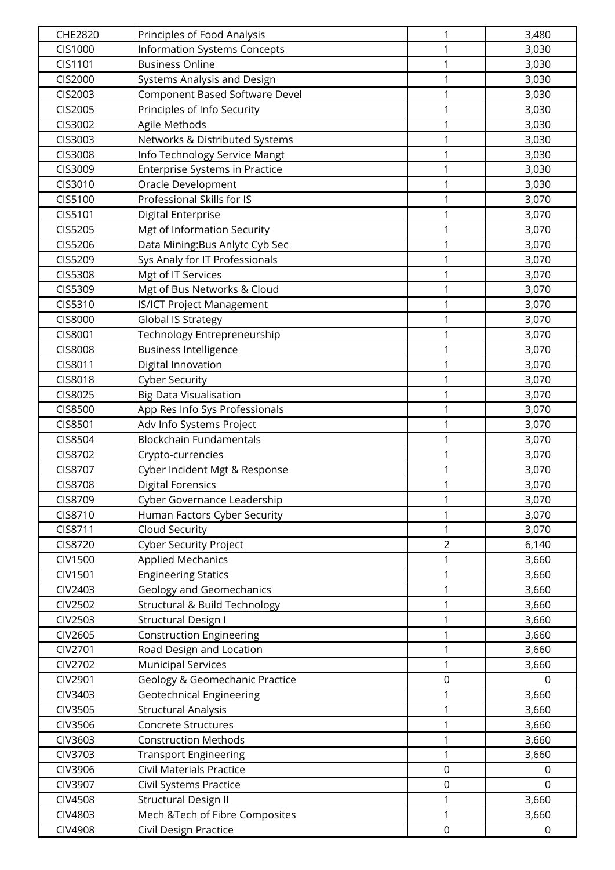| CHE2820        | Principles of Food Analysis         | 1                | 3,480       |
|----------------|-------------------------------------|------------------|-------------|
| CIS1000        | <b>Information Systems Concepts</b> | 1                | 3,030       |
| CIS1101        | <b>Business Online</b>              | $\mathbf{1}$     | 3,030       |
| CIS2000        | Systems Analysis and Design         | $\mathbf{1}$     | 3,030       |
| CIS2003        | Component Based Software Devel      | 1                | 3,030       |
| CIS2005        | Principles of Info Security         | 1                | 3,030       |
| CIS3002        | Agile Methods                       | 1                | 3,030       |
| CIS3003        | Networks & Distributed Systems      | 1                | 3,030       |
| CIS3008        | Info Technology Service Mangt       | $\mathbf{1}$     | 3,030       |
| CIS3009        | Enterprise Systems in Practice      | $\mathbf{1}$     | 3,030       |
| CIS3010        | Oracle Development                  | 1                | 3,030       |
| CIS5100        | Professional Skills for IS          | $\mathbf{1}$     | 3,070       |
| CIS5101        | Digital Enterprise                  | 1                | 3,070       |
| CIS5205        | Mgt of Information Security         | 1                | 3,070       |
| CIS5206        | Data Mining: Bus Anlytc Cyb Sec     | $\mathbf{1}$     | 3,070       |
| CIS5209        | Sys Analy for IT Professionals      | 1                | 3,070       |
| CIS5308        | Mgt of IT Services                  | 1                | 3,070       |
| CIS5309        | Mgt of Bus Networks & Cloud         | 1                | 3,070       |
| CIS5310        | <b>IS/ICT Project Management</b>    | 1                | 3,070       |
| CIS8000        | Global IS Strategy                  | 1                | 3,070       |
| CIS8001        | Technology Entrepreneurship         | 1                | 3,070       |
| <b>CIS8008</b> | <b>Business Intelligence</b>        | $\mathbf{1}$     | 3,070       |
| CIS8011        | Digital Innovation                  | $\mathbf{1}$     | 3,070       |
| <b>CIS8018</b> | <b>Cyber Security</b>               | 1                | 3,070       |
| CIS8025        | <b>Big Data Visualisation</b>       | 1                | 3,070       |
| CIS8500        | App Res Info Sys Professionals      | 1                | 3,070       |
| CIS8501        | Adv Info Systems Project            | 1                | 3,070       |
| CIS8504        | <b>Blockchain Fundamentals</b>      | $\mathbf{1}$     | 3,070       |
| CIS8702        | Crypto-currencies                   | $\mathbf{1}$     | 3,070       |
| CIS8707        | Cyber Incident Mgt & Response       | 1                | 3,070       |
| <b>CIS8708</b> | <b>Digital Forensics</b>            | $\mathbf{1}$     | 3,070       |
| CIS8709        | Cyber Governance Leadership         | 1                | 3,070       |
| CIS8710        | Human Factors Cyber Security        | 1                | 3,070       |
| CIS8711        | Cloud Security                      | 1                | 3,070       |
| CIS8720        | <b>Cyber Security Project</b>       | $\overline{2}$   | 6,140       |
| <b>CIV1500</b> | <b>Applied Mechanics</b>            | 1                | 3,660       |
| <b>CIV1501</b> | <b>Engineering Statics</b>          | 1                | 3,660       |
| CIV2403        | <b>Geology and Geomechanics</b>     | 1                | 3,660       |
| CIV2502        | Structural & Build Technology       | 1                | 3,660       |
| CIV2503        | <b>Structural Design I</b>          | 1                | 3,660       |
| CIV2605        | <b>Construction Engineering</b>     | 1                | 3,660       |
| CIV2701        | Road Design and Location            | 1                | 3,660       |
| <b>CIV2702</b> | <b>Municipal Services</b>           | 1                | 3,660       |
| CIV2901        | Geology & Geomechanic Practice      | $\mathbf 0$      | $\Omega$    |
| CIV3403        | <b>Geotechnical Engineering</b>     | 1                | 3,660       |
| CIV3505        | <b>Structural Analysis</b>          | 1                | 3,660       |
| CIV3506        | Concrete Structures                 | 1                | 3,660       |
| CIV3603        | <b>Construction Methods</b>         | 1                | 3,660       |
| CIV3703        | <b>Transport Engineering</b>        | 1                | 3,660       |
| CIV3906        | <b>Civil Materials Practice</b>     | $\mathbf 0$      | $\Omega$    |
| CIV3907        | Civil Systems Practice              | $\boldsymbol{0}$ | $\Omega$    |
| CIV4508        | <b>Structural Design II</b>         | 1                | 3,660       |
| CIV4803        | Mech & Tech of Fibre Composites     | $\mathbf{1}$     | 3,660       |
| <b>CIV4908</b> | Civil Design Practice               | $\mathbf 0$      | $\mathbf 0$ |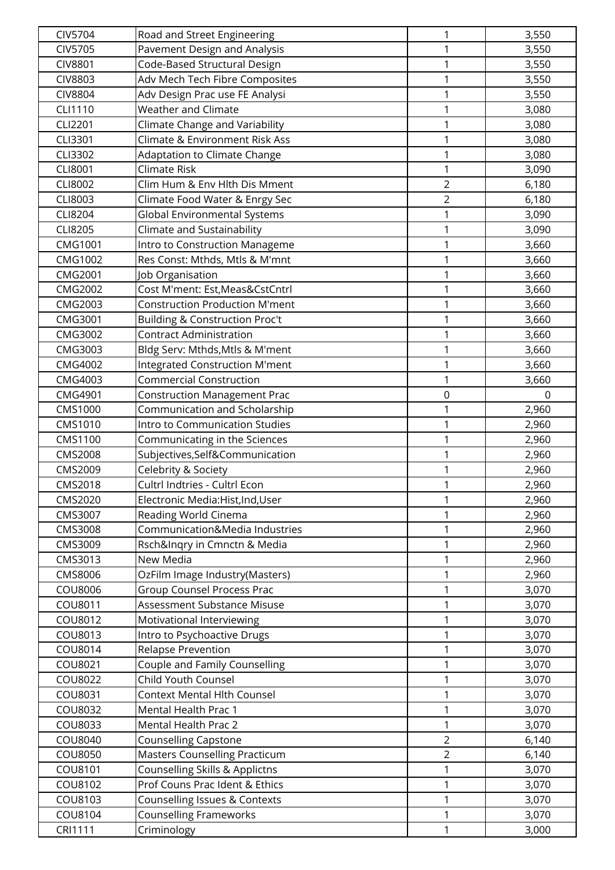| <b>CIV5704</b>     | Road and Street Engineering                                    | $\mathbf 1$    | 3,550          |
|--------------------|----------------------------------------------------------------|----------------|----------------|
| <b>CIV5705</b>     | Pavement Design and Analysis                                   | 1              | 3,550          |
| <b>CIV8801</b>     | Code-Based Structural Design                                   | 1              | 3,550          |
| <b>CIV8803</b>     | Adv Mech Tech Fibre Composites                                 | 1              | 3,550          |
| <b>CIV8804</b>     | Adv Design Prac use FE Analysi                                 | 1              | 3,550          |
| CLI1110            | <b>Weather and Climate</b>                                     | 1              | 3,080          |
| CLI2201            | Climate Change and Variability                                 | $\mathbf 1$    | 3,080          |
| CLI3301            | <b>Climate &amp; Environment Risk Ass</b>                      | 1              | 3,080          |
| CLI3302            | Adaptation to Climate Change                                   | 1              | 3,080          |
| CLI8001            | <b>Climate Risk</b>                                            | 1              | 3,090          |
| CLI8002            | Clim Hum & Env Hlth Dis Mment                                  | $\overline{2}$ | 6,180          |
| CLI8003            | Climate Food Water & Enrgy Sec                                 | $\overline{2}$ | 6,180          |
| CLI8204            | Global Environmental Systems                                   | $\mathbf{1}$   | 3,090          |
| CLI8205            | Climate and Sustainability                                     | $\mathbf 1$    | 3,090          |
| CMG1001            | Intro to Construction Manageme                                 | 1              | 3,660          |
| <b>CMG1002</b>     | Res Const: Mthds, Mtls & M'mnt                                 | 1              | 3,660          |
| CMG2001            | Job Organisation                                               | 1              | 3,660          |
| <b>CMG2002</b>     | Cost M'ment: Est, Meas& Cst Cntrl                              | 1              | 3,660          |
| CMG2003            | <b>Construction Production M'ment</b>                          | 1              | 3,660          |
| CMG3001            | Building & Construction Proc't                                 | 1              | 3,660          |
| CMG3002            | <b>Contract Administration</b>                                 | 1              | 3,660          |
| CMG3003            | Bldg Serv: Mthds, Mtls & M'ment                                | 1              | 3,660          |
| <b>CMG4002</b>     | <b>Integrated Construction M'ment</b>                          | 1              | 3,660          |
| CMG4003            | <b>Commercial Construction</b>                                 | 1              | 3,660          |
| CMG4901            | <b>Construction Management Prac</b>                            | $\mathbf 0$    | 0              |
| CMS1000            | Communication and Scholarship                                  | 1              | 2,960          |
| CMS1010            | Intro to Communication Studies                                 | 1              | 2,960          |
| CMS1100            | Communicating in the Sciences                                  | 1              | 2,960          |
| <b>CMS2008</b>     | Subjectives, Self&Communication                                | 1              | 2,960          |
| CMS2009            | Celebrity & Society                                            | 1              | 2,960          |
| CMS2018            | Cultrl Indtries - Cultrl Econ                                  | 1              | 2,960          |
| CMS2020            | Electronic Media:Hist,Ind,User                                 | 1              | 2,960          |
| CMS3007            | Reading World Cinema                                           | 1              | 2,960          |
| <b>CMS3008</b>     | Communication&Media Industries                                 | 1              | 2,960          |
| CMS3009            | Rsch&Inqry in Cmnctn & Media                                   | 1              | 2,960          |
| CMS3013            | New Media                                                      | 1              | 2,960          |
| CMS8006            | OzFilm Image Industry(Masters)                                 | 1              | 2,960          |
| COU8006            | <b>Group Counsel Process Prac</b>                              | $\mathbf{1}$   | 3,070          |
| COU8011            | Assessment Substance Misuse                                    | $\mathbf{1}$   | 3,070          |
| COU8012            | Motivational Interviewing                                      | $\mathbf{1}$   | 3,070          |
| COU8013            | Intro to Psychoactive Drugs                                    | 1              | 3,070          |
| COU8014            | <b>Relapse Prevention</b>                                      | 1              | 3,070          |
| COU8021            | Couple and Family Counselling                                  | 1              | 3,070          |
| COU8022            | Child Youth Counsel                                            | 1              | 3,070          |
| COU8031            | Context Mental Hlth Counsel                                    | $\mathbf{1}$   | 3,070          |
| COU8032            | Mental Health Prac 1                                           | 1              | 3,070          |
| COU8033            | Mental Health Prac 2                                           | $\mathbf{1}$   | 3,070          |
| COU8040            | <b>Counselling Capstone</b>                                    | $\overline{2}$ | 6,140          |
| COU8050            | <b>Masters Counselling Practicum</b>                           | $\overline{2}$ | 6,140          |
| COU8101            | Counselling Skills & Applictns                                 | 1              | 3,070          |
| COU8102            | Prof Couns Prac Ident & Ethics                                 | 1              | 3,070          |
| COU8103<br>COU8104 | Counselling Issues & Contexts<br><b>Counselling Frameworks</b> | 1<br>1         | 3,070<br>3,070 |
| <b>CRI1111</b>     |                                                                | 1              |                |
|                    | Criminology                                                    |                | 3,000          |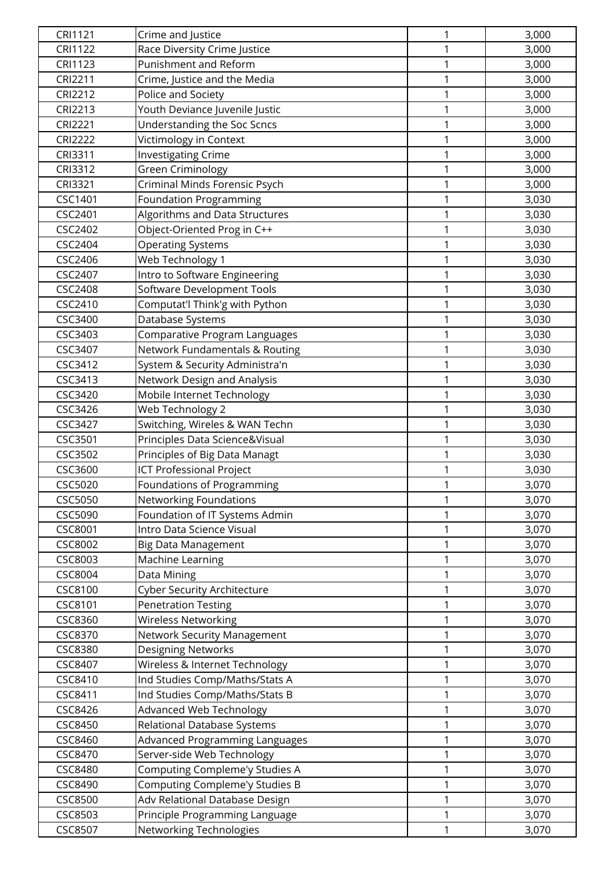| CRI1121        | Crime and Justice                  | $\mathbf 1$  | 3,000 |
|----------------|------------------------------------|--------------|-------|
| <b>CRI1122</b> | Race Diversity Crime Justice       | 1            | 3,000 |
| <b>CRI1123</b> | Punishment and Reform              | 1            | 3,000 |
| CRI2211        | Crime, Justice and the Media       | 1            | 3,000 |
| <b>CRI2212</b> | Police and Society                 | 1            | 3,000 |
| <b>CRI2213</b> | Youth Deviance Juvenile Justic     | 1            | 3,000 |
| <b>CRI2221</b> | Understanding the Soc Scncs        | $\mathbf{1}$ | 3,000 |
| <b>CRI2222</b> | Victimology in Context             | $\mathbf{1}$ | 3,000 |
| CRI3311        | <b>Investigating Crime</b>         | $\mathbf{1}$ | 3,000 |
| CRI3312        | Green Criminology                  | $\mathbf{1}$ | 3,000 |
| CRI3321        | Criminal Minds Forensic Psych      | 1            | 3,000 |
| CSC1401        | <b>Foundation Programming</b>      | 1            | 3,030 |
| CSC2401        | Algorithms and Data Structures     | $\mathbf 1$  | 3,030 |
| <b>CSC2402</b> | Object-Oriented Prog in C++        | $\mathbf{1}$ | 3,030 |
| CSC2404        | <b>Operating Systems</b>           | $\mathbf{1}$ | 3,030 |
| CSC2406        | Web Technology 1                   | 1            | 3,030 |
| CSC2407        | Intro to Software Engineering      | 1            | 3,030 |
| <b>CSC2408</b> | Software Development Tools         | 1            | 3,030 |
| CSC2410        | Computat'l Think'g with Python     | 1            | 3,030 |
| CSC3400        | Database Systems                   | $\mathbf 1$  | 3,030 |
| CSC3403        | Comparative Program Languages      | 1            | 3,030 |
| CSC3407        | Network Fundamentals & Routing     | $\mathbf 1$  | 3,030 |
| CSC3412        | System & Security Administra'n     | 1            | 3,030 |
| CSC3413        | Network Design and Analysis        | 1            | 3,030 |
| CSC3420        | Mobile Internet Technology         | 1            | 3,030 |
| CSC3426        | Web Technology 2                   | $\mathbf{1}$ | 3,030 |
| CSC3427        | Switching, Wireles & WAN Techn     | $\mathbf 1$  | 3,030 |
| CSC3501        | Principles Data Science&Visual     | 1            | 3,030 |
| CSC3502        | Principles of Big Data Managt      | $\mathbf{1}$ | 3,030 |
| CSC3600        | <b>ICT Professional Project</b>    | 1            | 3,030 |
| CSC5020        | Foundations of Programming         | 1            | 3,070 |
| CSC5050        | <b>Networking Foundations</b>      | 1            | 3,070 |
| CSC5090        | Foundation of IT Systems Admin     | $\mathbf 1$  | 3,070 |
| CSC8001        | Intro Data Science Visual          | $\mathbf 1$  | 3,070 |
| CSC8002        | <b>Big Data Management</b>         | 1            | 3,070 |
| CSC8003        | Machine Learning                   | $\mathbf{1}$ | 3,070 |
| CSC8004        | Data Mining                        | 1            | 3,070 |
| CSC8100        | <b>Cyber Security Architecture</b> | 1            | 3,070 |
| CSC8101        | <b>Penetration Testing</b>         | $\mathbf 1$  | 3,070 |
| <b>CSC8360</b> | <b>Wireless Networking</b>         | $\mathbf{1}$ | 3,070 |
| <b>CSC8370</b> | Network Security Management        | $\mathbf 1$  | 3,070 |
| <b>CSC8380</b> | <b>Designing Networks</b>          | $\mathbf{1}$ | 3,070 |
| CSC8407        | Wireless & Internet Technology     | 1            | 3,070 |
| CSC8410        | Ind Studies Comp/Maths/Stats A     | 1            | 3,070 |
| CSC8411        | Ind Studies Comp/Maths/Stats B     | $\mathbf 1$  | 3,070 |
| CSC8426        | <b>Advanced Web Technology</b>     | $\mathbf 1$  | 3,070 |
| <b>CSC8450</b> | Relational Database Systems        | 1            | 3,070 |
| CSC8460        | Advanced Programming Languages     | 1            | 3,070 |
| CSC8470        | Server-side Web Technology         | 1            | 3,070 |
| <b>CSC8480</b> | Computing Compleme'y Studies A     | 1            | 3,070 |
| CSC8490        | Computing Compleme'y Studies B     | 1            | 3,070 |
| <b>CSC8500</b> | Adv Relational Database Design     | 1            | 3,070 |
| CSC8503        | Principle Programming Language     | $\mathbf 1$  | 3,070 |
| <b>CSC8507</b> | Networking Technologies            | 1            | 3,070 |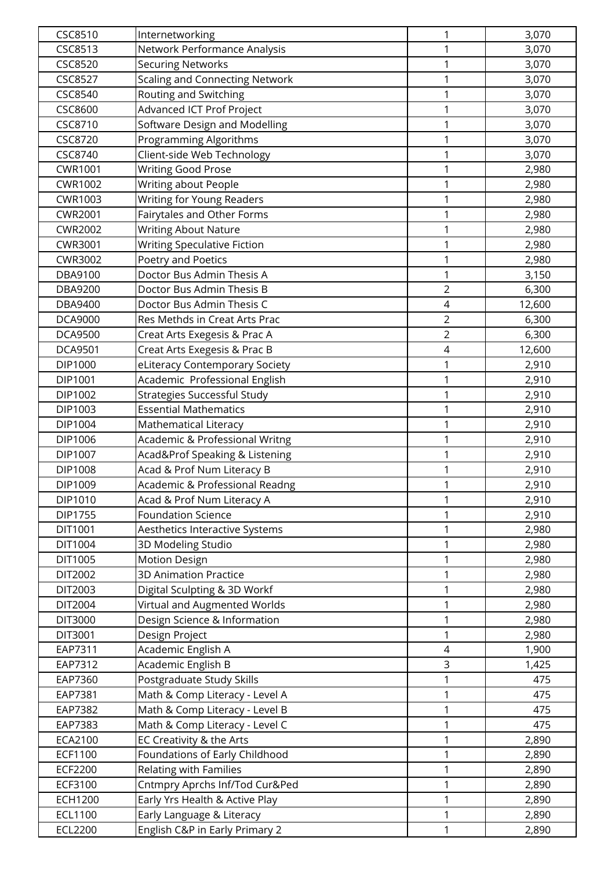| CSC8510        | Internetworking                       | 1              | 3,070  |
|----------------|---------------------------------------|----------------|--------|
| <b>CSC8513</b> | Network Performance Analysis          | 1              | 3,070  |
| <b>CSC8520</b> | <b>Securing Networks</b>              | $\mathbf{1}$   | 3,070  |
| <b>CSC8527</b> | <b>Scaling and Connecting Network</b> | $\mathbf{1}$   | 3,070  |
| CSC8540        | Routing and Switching                 | $\mathbf 1$    | 3,070  |
| CSC8600        | Advanced ICT Prof Project             | 1              | 3,070  |
| CSC8710        | Software Design and Modelling         | 1              | 3,070  |
| <b>CSC8720</b> | Programming Algorithms                | 1              | 3,070  |
| CSC8740        | Client-side Web Technology            | $\mathbf{1}$   | 3,070  |
| CWR1001        | <b>Writing Good Prose</b>             | $\mathbf{1}$   | 2,980  |
| <b>CWR1002</b> | Writing about People                  | 1              | 2,980  |
| CWR1003        | Writing for Young Readers             | $\mathbf{1}$   | 2,980  |
| <b>CWR2001</b> | Fairytales and Other Forms            | 1              | 2,980  |
| <b>CWR2002</b> | <b>Writing About Nature</b>           | 1              | 2,980  |
| CWR3001        | Writing Speculative Fiction           | $\mathbf{1}$   | 2,980  |
| CWR3002        | Poetry and Poetics                    | $\mathbf{1}$   | 2,980  |
| DBA9100        | Doctor Bus Admin Thesis A             | 1              | 3,150  |
| <b>DBA9200</b> | Doctor Bus Admin Thesis B             | $\overline{2}$ | 6,300  |
| DBA9400        | Doctor Bus Admin Thesis C             | $\overline{4}$ | 12,600 |
| <b>DCA9000</b> | Res Methds in Creat Arts Prac         | $\overline{2}$ | 6,300  |
| <b>DCA9500</b> | Creat Arts Exegesis & Prac A          | $\overline{2}$ | 6,300  |
| <b>DCA9501</b> | Creat Arts Exegesis & Prac B          | $\sqrt{4}$     | 12,600 |
| DIP1000        | eLiteracy Contemporary Society        | $\mathbf{1}$   | 2,910  |
| DIP1001        | Academic Professional English         | 1              | 2,910  |
| DIP1002        | <b>Strategies Successful Study</b>    | 1              | 2,910  |
| DIP1003        | <b>Essential Mathematics</b>          | 1              | 2,910  |
| DIP1004        | Mathematical Literacy                 | 1              | 2,910  |
| DIP1006        | Academic & Professional Writng        | $\mathbf{1}$   | 2,910  |
| DIP1007        | Acad&Prof Speaking & Listening        | $\mathbf{1}$   | 2,910  |
| DIP1008        | Acad & Prof Num Literacy B            | 1              | 2,910  |
| DIP1009        | Academic & Professional Readng        | $\mathbf{1}$   | 2,910  |
| DIP1010        | Acad & Prof Num Literacy A            | 1              | 2,910  |
| DIP1755        | <b>Foundation Science</b>             | 1              | 2,910  |
| DIT1001        | Aesthetics Interactive Systems        | $\mathbf 1$    | 2,980  |
| DIT1004        | 3D Modeling Studio                    | $\mathbf{1}$   | 2,980  |
| DIT1005        | <b>Motion Design</b>                  | $\mathbf 1$    | 2,980  |
| DIT2002        | <b>3D Animation Practice</b>          | 1              | 2,980  |
| DIT2003        | Digital Sculpting & 3D Workf          | 1              | 2,980  |
| DIT2004        | Virtual and Augmented Worlds          | 1              | 2,980  |
| <b>DIT3000</b> | Design Science & Information          | $\mathbf 1$    | 2,980  |
| DIT3001        | Design Project                        | 1              | 2,980  |
| EAP7311        | Academic English A                    | 4              | 1,900  |
| EAP7312        | Academic English B                    | 3              | 1,425  |
| EAP7360        | Postgraduate Study Skills             | $\mathbf{1}$   | 475    |
| EAP7381        | Math & Comp Literacy - Level A        | 1              | 475    |
| EAP7382        | Math & Comp Literacy - Level B        | 1              | 475    |
| EAP7383        | Math & Comp Literacy - Level C        | $\mathbf{1}$   | 475    |
| ECA2100        | EC Creativity & the Arts              | $\mathbf{1}$   | 2,890  |
| ECF1100        | Foundations of Early Childhood        | $\mathbf{1}$   | 2,890  |
| <b>ECF2200</b> | Relating with Families                | $\mathbf{1}$   | 2,890  |
| ECF3100        | Cntmpry Aprchs Inf/Tod Cur&Ped        | 1              | 2,890  |
| ECH1200        | Early Yrs Health & Active Play        | 1              | 2,890  |
| ECL1100        | Early Language & Literacy             | $\mathbf{1}$   | 2,890  |
| ECL2200        | English C&P in Early Primary 2        | $\mathbf{1}$   | 2,890  |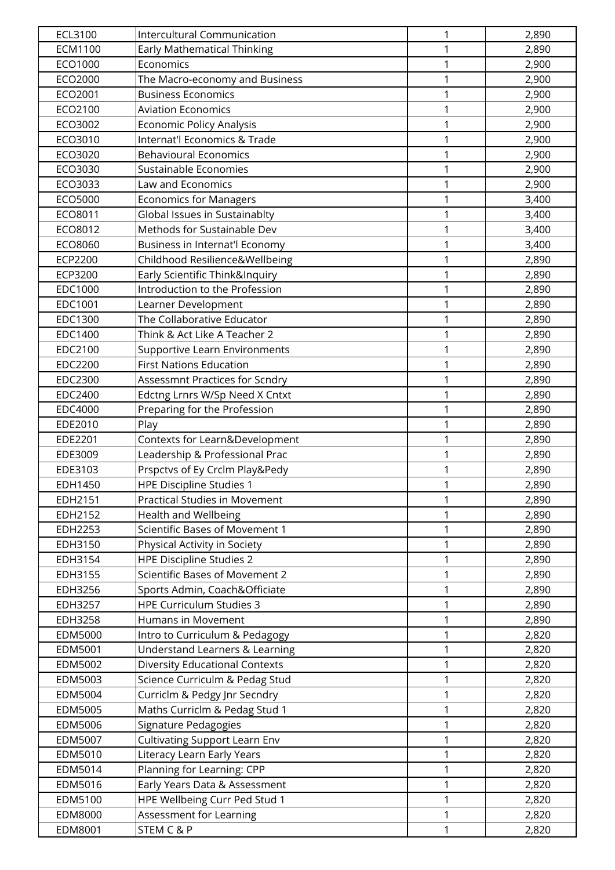| ECL3100        | <b>Intercultural Communication</b>        | 1            | 2,890 |
|----------------|-------------------------------------------|--------------|-------|
| <b>ECM1100</b> | <b>Early Mathematical Thinking</b>        | 1            | 2,890 |
| ECO1000        | Economics                                 | $\mathbf{1}$ | 2,900 |
| ECO2000        | The Macro-economy and Business            | $\mathbf{1}$ | 2,900 |
| ECO2001        | <b>Business Economics</b>                 | 1            | 2,900 |
| ECO2100        | <b>Aviation Economics</b>                 | 1            | 2,900 |
| ECO3002        | Economic Policy Analysis                  | 1            | 2,900 |
| ECO3010        | Internat'l Economics & Trade              | 1            | 2,900 |
| ECO3020        | <b>Behavioural Economics</b>              | $\mathbf{1}$ | 2,900 |
| ECO3030        | Sustainable Economies                     | $\mathbf 1$  | 2,900 |
| ECO3033        | Law and Economics                         | 1            | 2,900 |
| ECO5000        | <b>Economics for Managers</b>             | 1            | 3,400 |
| ECO8011        | Global Issues in Sustainablty             | 1            | 3,400 |
| ECO8012        | Methods for Sustainable Dev               | 1            | 3,400 |
| ECO8060        | Business in Internat'l Economy            | $\mathbf 1$  | 3,400 |
| ECP2200        | Childhood Resilience&Wellbeing            | $\mathbf 1$  | 2,890 |
| ECP3200        | Early Scientific Think&Inquiry            | 1            | 2,890 |
| EDC1000        | Introduction to the Profession            | 1            | 2,890 |
| EDC1001        | Learner Development                       | 1            | 2,890 |
| EDC1300        | The Collaborative Educator                | 1            | 2,890 |
| EDC1400        | Think & Act Like A Teacher 2              | 1            | 2,890 |
| EDC2100        | Supportive Learn Environments             | $\mathbf{1}$ | 2,890 |
| EDC2200        | <b>First Nations Education</b>            | 1            | 2,890 |
| EDC2300        | Assessmnt Practices for Scndry            | 1            | 2,890 |
| EDC2400        | Edctng Lrnrs W/Sp Need X Cntxt            | 1            | 2,890 |
| <b>EDC4000</b> | Preparing for the Profession              | 1            | 2,890 |
| EDE2010        | Play                                      | 1            | 2,890 |
| EDE2201        | Contexts for Learn&Development            | $\mathbf{1}$ | 2,890 |
| EDE3009        | Leadership & Professional Prac            | 1            | 2,890 |
| EDE3103        | Prspctvs of Ey Crclm Play&Pedy            | 1            | 2,890 |
| EDH1450        | <b>HPE Discipline Studies 1</b>           | $\mathbf{1}$ | 2,890 |
| EDH2151        | <b>Practical Studies in Movement</b>      | 1            | 2,890 |
| EDH2152        | <b>Health and Wellbeing</b>               | 1            | 2,890 |
| EDH2253        | Scientific Bases of Movement 1            | 1            | 2,890 |
| EDH3150        | Physical Activity in Society              | 1            | 2,890 |
| EDH3154        | <b>HPE Discipline Studies 2</b>           | 1            | 2,890 |
| EDH3155        | Scientific Bases of Movement 2            | 1            | 2,890 |
| EDH3256        | Sports Admin, Coach&Officiate             | 1            | 2,890 |
| EDH3257        | <b>HPE Curriculum Studies 3</b>           | 1            | 2,890 |
| EDH3258        | Humans in Movement                        | 1            | 2,890 |
| EDM5000        | Intro to Curriculum & Pedagogy            | 1            | 2,820 |
| EDM5001        | <b>Understand Learners &amp; Learning</b> | 1            | 2,820 |
| EDM5002        | <b>Diversity Educational Contexts</b>     | 1            | 2,820 |
| EDM5003        | Science Curriculm & Pedag Stud            | 1            | 2,820 |
| EDM5004        | Curriclm & Pedgy Jnr Secndry              | 1            | 2,820 |
| EDM5005        | Maths Curriclm & Pedag Stud 1             | 1            | 2,820 |
| EDM5006        | Signature Pedagogies                      | $\mathbf{1}$ | 2,820 |
| EDM5007        | <b>Cultivating Support Learn Env</b>      | $\mathbf{1}$ | 2,820 |
| EDM5010        | Literacy Learn Early Years                | 1            | 2,820 |
| EDM5014        | Planning for Learning: CPP                | 1            | 2,820 |
| EDM5016        | Early Years Data & Assessment             | 1            | 2,820 |
| EDM5100        | HPE Wellbeing Curr Ped Stud 1             | 1            | 2,820 |
| EDM8000        | Assessment for Learning                   | 1            | 2,820 |
| EDM8001        | STEM C & P                                | 1            | 2,820 |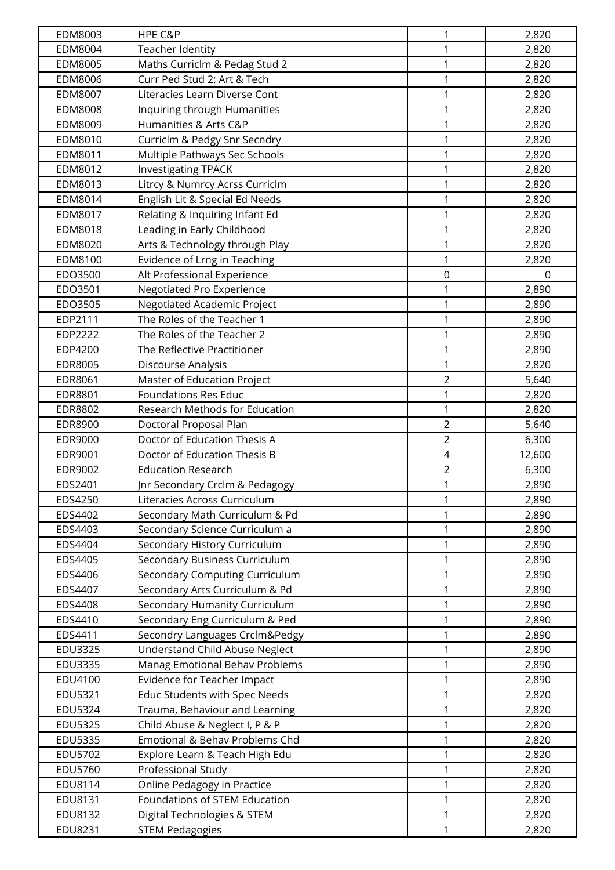| EDM8003        | HPE C&P                               | 1              | 2,820  |
|----------------|---------------------------------------|----------------|--------|
| EDM8004        | Teacher Identity                      | 1              | 2,820  |
| EDM8005        | Maths Curriclm & Pedag Stud 2         | $\mathbf{1}$   | 2,820  |
| EDM8006        | Curr Ped Stud 2: Art & Tech           | $\mathbf{1}$   | 2,820  |
| EDM8007        | Literacies Learn Diverse Cont         | $\mathbf 1$    | 2,820  |
| <b>EDM8008</b> | Inquiring through Humanities          | 1              | 2,820  |
| EDM8009        | Humanities & Arts C&P                 | 1              | 2,820  |
| EDM8010        | Curriclm & Pedgy Snr Secndry          | 1              | 2,820  |
| EDM8011        | Multiple Pathways Sec Schools         | $\mathbf{1}$   | 2,820  |
| EDM8012        | <b>Investigating TPACK</b>            | $\mathbf{1}$   | 2,820  |
| EDM8013        | Litrcy & Numrcy Acrss Curriclm        | 1              | 2,820  |
| EDM8014        | English Lit & Special Ed Needs        | $\mathbf{1}$   | 2,820  |
| EDM8017        | Relating & Inquiring Infant Ed        | 1              | 2,820  |
| EDM8018        | Leading in Early Childhood            | 1              | 2,820  |
| EDM8020        | Arts & Technology through Play        | $\mathbf{1}$   | 2,820  |
| EDM8100        | Evidence of Lrng in Teaching          | $\mathbf{1}$   | 2,820  |
| EDO3500        | Alt Professional Experience           | $\mathbf 0$    | 0      |
| EDO3501        | Negotiated Pro Experience             | $\mathbf 1$    | 2,890  |
| EDO3505        | Negotiated Academic Project           | 1              | 2,890  |
| EDP2111        | The Roles of the Teacher 1            | 1              | 2,890  |
| EDP2222        | The Roles of the Teacher 2            | $\mathbf 1$    | 2,890  |
| EDP4200        | The Reflective Practitioner           | $\mathbf 1$    | 2,890  |
| EDR8005        | Discourse Analysis                    | $\mathbf{1}$   | 2,820  |
| EDR8061        | Master of Education Project           | $\overline{2}$ | 5,640  |
| EDR8801        | <b>Foundations Res Educ</b>           | 1              | 2,820  |
| EDR8802        | Research Methods for Education        | 1              | 2,820  |
| EDR8900        | Doctoral Proposal Plan                | $\overline{2}$ | 5,640  |
| EDR9000        | Doctor of Education Thesis A          | $\overline{2}$ | 6,300  |
| EDR9001        | Doctor of Education Thesis B          | $\overline{4}$ | 12,600 |
| EDR9002        | <b>Education Research</b>             | $\overline{2}$ | 6,300  |
| EDS2401        | Inr Secondary Crclm & Pedagogy        | $\mathbf{1}$   | 2,890  |
| EDS4250        | Literacies Across Curriculum          | 1              | 2,890  |
| EDS4402        | Secondary Math Curriculum & Pd        | 1              | 2,890  |
| EDS4403        | Secondary Science Curriculum a        | $\mathbf{1}$   | 2,890  |
| EDS4404        | Secondary History Curriculum          | $\mathbf{1}$   | 2,890  |
| EDS4405        | Secondary Business Curriculum         | $\mathbf{1}$   | 2,890  |
| EDS4406        | Secondary Computing Curriculum        | 1              | 2,890  |
| EDS4407        | Secondary Arts Curriculum & Pd        | 1              | 2,890  |
| EDS4408        | Secondary Humanity Curriculum         | 1              | 2,890  |
| EDS4410        | Secondary Eng Curriculum & Ped        | $\mathbf 1$    | 2,890  |
| EDS4411        | Secondry Languages Crclm&Pedgy        | 1              | 2,890  |
| EDU3325        | <b>Understand Child Abuse Neglect</b> | 1              | 2,890  |
| EDU3335        | Manag Emotional Behav Problems        | 1              | 2,890  |
| EDU4100        | Evidence for Teacher Impact           | $\mathbf{1}$   | 2,890  |
| EDU5321        | Educ Students with Spec Needs         | 1              | 2,820  |
| EDU5324        | Trauma, Behaviour and Learning        | 1              | 2,820  |
| <b>EDU5325</b> | Child Abuse & Neglect I, P & P        | $\mathbf{1}$   | 2,820  |
| <b>EDU5335</b> | Emotional & Behav Problems Chd        | $\mathbf{1}$   | 2,820  |
| EDU5702        | Explore Learn & Teach High Edu        | $\mathbf{1}$   | 2,820  |
| EDU5760        | Professional Study                    | $\mathbf{1}$   | 2,820  |
| EDU8114        | Online Pedagogy in Practice           | 1              | 2,820  |
| EDU8131        | Foundations of STEM Education         | 1              | 2,820  |
| EDU8132        | Digital Technologies & STEM           | $\mathbf{1}$   | 2,820  |
| EDU8231        | <b>STEM Pedagogies</b>                | 1              | 2,820  |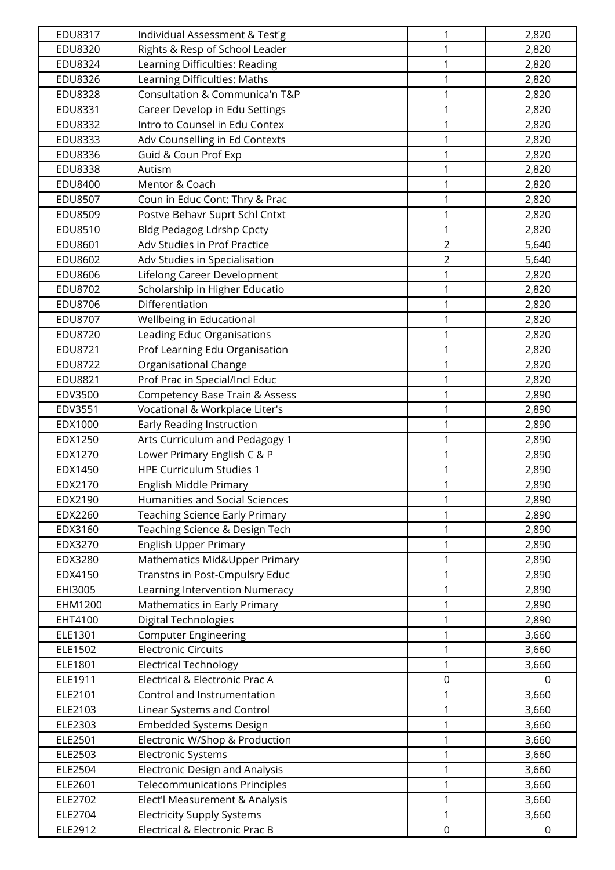| EDU8317            | Individual Assessment & Test'g                                      | 1                | 2,820          |
|--------------------|---------------------------------------------------------------------|------------------|----------------|
| EDU8320            | Rights & Resp of School Leader                                      | 1                | 2,820          |
| <b>EDU8324</b>     | Learning Difficulties: Reading                                      | 1                | 2,820          |
| <b>EDU8326</b>     | Learning Difficulties: Maths                                        | $\mathbf{1}$     | 2,820          |
| <b>EDU8328</b>     | Consultation & Communica'n T&P                                      | 1                | 2,820          |
| EDU8331            | Career Develop in Edu Settings                                      | 1                | 2,820          |
| <b>EDU8332</b>     | Intro to Counsel in Edu Contex                                      | 1                | 2,820          |
| EDU8333            | Adv Counselling in Ed Contexts                                      | $\mathbf{1}$     | 2,820          |
| EDU8336            | Guid & Coun Prof Exp                                                | $\mathbf{1}$     | 2,820          |
| <b>EDU8338</b>     | Autism                                                              | $\mathbf{1}$     | 2,820          |
| EDU8400            | Mentor & Coach                                                      | 1                | 2,820          |
| <b>EDU8507</b>     | Coun in Educ Cont: Thry & Prac                                      | 1                | 2,820          |
| <b>EDU8509</b>     | Postve Behavr Suprt Schl Cntxt                                      | 1                | 2,820          |
| EDU8510            | <b>Bldg Pedagog Ldrshp Cpcty</b>                                    | $\mathbf{1}$     | 2,820          |
| EDU8601            | Adv Studies in Prof Practice                                        | $\overline{2}$   | 5,640          |
| EDU8602            | Adv Studies in Specialisation                                       | $\overline{2}$   | 5,640          |
| <b>EDU8606</b>     | Lifelong Career Development                                         | 1                | 2,820          |
| EDU8702            | Scholarship in Higher Educatio                                      | 1                | 2,820          |
| EDU8706            | Differentiation                                                     | 1                | 2,820          |
| <b>EDU8707</b>     | <b>Wellbeing in Educational</b>                                     | $\mathbf{1}$     | 2,820          |
| <b>EDU8720</b>     | Leading Educ Organisations                                          | $\mathbf 1$      | 2,820          |
| EDU8721            | Prof Learning Edu Organisation                                      | $\mathbf 1$      | 2,820          |
| <b>EDU8722</b>     | Organisational Change                                               | 1                | 2,820          |
| EDU8821            | Prof Prac in Special/Incl Educ                                      | 1                | 2,820          |
| EDV3500            | Competency Base Train & Assess                                      | 1                | 2,890          |
| EDV3551            | Vocational & Workplace Liter's                                      | $\mathbf{1}$     | 2,890          |
| EDX1000            | Early Reading Instruction                                           | $\mathbf{1}$     | 2,890          |
| EDX1250            | Arts Curriculum and Pedagogy 1                                      | 1                | 2,890          |
| EDX1270            | Lower Primary English C & P                                         | $\mathbf{1}$     | 2,890          |
| EDX1450            | <b>HPE Curriculum Studies 1</b>                                     | 1                | 2,890          |
| EDX2170            | English Middle Primary                                              | 1                | 2,890          |
| EDX2190            | <b>Humanities and Social Sciences</b>                               | 1                | 2,890          |
| EDX2260            | Teaching Science Early Primary                                      | 1                | 2,890          |
| EDX3160            | Teaching Science & Design Tech                                      | $\mathbf 1$      | 2,890          |
| EDX3270            | English Upper Primary                                               | 1                | 2,890          |
| EDX3280            | Mathematics Mid&Upper Primary                                       | $\mathbf{1}$     | 2,890          |
| EDX4150            | Transtns in Post-Cmpulsry Educ                                      | 1                | 2,890          |
| EHI3005            | Learning Intervention Numeracy                                      | 1                | 2,890          |
| EHM1200            | Mathematics in Early Primary                                        | $\mathbf 1$      | 2,890          |
| EHT4100            | Digital Technologies                                                | $\mathbf{1}$     | 2,890          |
| ELE1301            | <b>Computer Engineering</b>                                         | $\mathbf 1$      | 3,660          |
| ELE1502            | <b>Electronic Circuits</b>                                          | $\mathbf{1}$     | 3,660          |
| ELE1801            | <b>Electrical Technology</b>                                        | 1                | 3,660          |
| ELE1911            | Electrical & Electronic Prac A                                      | $\boldsymbol{0}$ | 0              |
| ELE2101            | Control and Instrumentation                                         | 1                | 3,660          |
| ELE2103            | Linear Systems and Control                                          | 1                | 3,660          |
| ELE2303            | <b>Embedded Systems Design</b>                                      | 1                | 3,660          |
| ELE2501            | Electronic W/Shop & Production                                      | $\mathbf 1$      | 3,660          |
| ELE2503            | Electronic Systems                                                  | 1                | 3,660          |
| ELE2504            | <b>Electronic Design and Analysis</b>                               | 1                | 3,660          |
| ELE2601            | <b>Telecommunications Principles</b>                                | 1                | 3,660          |
| ELE2702<br>ELE2704 | Elect'l Measurement & Analysis<br><b>Electricity Supply Systems</b> | 1<br>$\mathbf 1$ | 3,660<br>3,660 |
| ELE2912            | Electrical & Electronic Prac B                                      | $\mathbf 0$      | $\mathbf 0$    |
|                    |                                                                     |                  |                |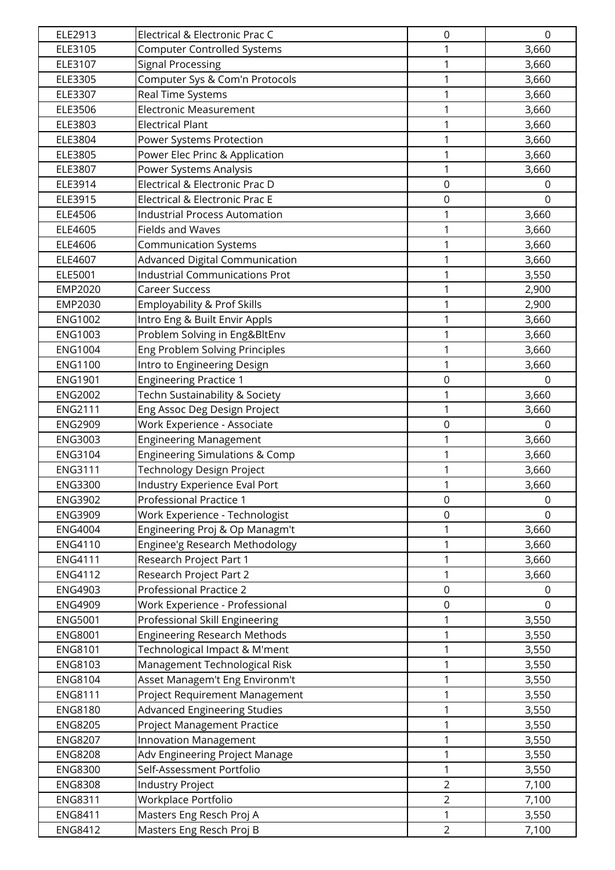| ELE2913        | Electrical & Electronic Prac C            | 0                | $\mathbf 0$    |
|----------------|-------------------------------------------|------------------|----------------|
| ELE3105        | <b>Computer Controlled Systems</b>        | 1                | 3,660          |
| ELE3107        | <b>Signal Processing</b>                  | 1                | 3,660          |
| ELE3305        | Computer Sys & Com'n Protocols            | 1                | 3,660          |
| ELE3307        | Real Time Systems                         | 1                | 3,660          |
| ELE3506        | <b>Electronic Measurement</b>             | 1                | 3,660          |
| ELE3803        | <b>Electrical Plant</b>                   | 1                | 3,660          |
| ELE3804        | Power Systems Protection                  | 1                | 3,660          |
| ELE3805        | Power Elec Princ & Application            | 1                | 3,660          |
| ELE3807        | Power Systems Analysis                    | 1                | 3,660          |
| ELE3914        | Electrical & Electronic Prac D            | $\mathbf 0$      | $\Omega$       |
| ELE3915        | Electrical & Electronic Prac E            | $\boldsymbol{0}$ | $\mathbf 0$    |
| ELE4506        | <b>Industrial Process Automation</b>      | 1                | 3,660          |
| ELE4605        | <b>Fields and Waves</b>                   | 1                | 3,660          |
| ELE4606        | <b>Communication Systems</b>              | 1                | 3,660          |
| ELE4607        | Advanced Digital Communication            | 1                | 3,660          |
| ELE5001        | <b>Industrial Communications Prot</b>     | 1                | 3,550          |
| EMP2020        | <b>Career Success</b>                     | 1                | 2,900          |
| EMP2030        | Employability & Prof Skills               | 1                | 2,900          |
| <b>ENG1002</b> | Intro Eng & Built Envir Appls             | 1                | 3,660          |
| <b>ENG1003</b> | Problem Solving in Eng&BltEnv             | 1                | 3,660          |
| <b>ENG1004</b> | Eng Problem Solving Principles            | 1                | 3,660          |
| <b>ENG1100</b> | Intro to Engineering Design               | 1                | 3,660          |
| <b>ENG1901</b> | <b>Engineering Practice 1</b>             | $\mathsf 0$      | $\Omega$       |
| <b>ENG2002</b> | Techn Sustainability & Society            | 1                | 3,660          |
| <b>ENG2111</b> | Eng Assoc Deg Design Project              | 1                | 3,660          |
| <b>ENG2909</b> | Work Experience - Associate               | $\mathbf 0$      | 0              |
| <b>ENG3003</b> | <b>Engineering Management</b>             | 1                | 3,660          |
| <b>ENG3104</b> | <b>Engineering Simulations &amp; Comp</b> | 1                | 3,660          |
| <b>ENG3111</b> | Technology Design Project                 | 1                | 3,660          |
| <b>ENG3300</b> | Industry Experience Eval Port             | 1                | 3,660          |
| <b>ENG3902</b> | Professional Practice 1                   | $\boldsymbol{0}$ | 0              |
| <b>ENG3909</b> | Work Experience - Technologist            | $\mathbf 0$      | $\overline{0}$ |
| <b>ENG4004</b> | Engineering Proj & Op Managm't            | 1                | 3,660          |
| <b>ENG4110</b> | Enginee'g Research Methodology            | 1                | 3,660          |
| <b>ENG4111</b> | Research Project Part 1                   | 1                | 3,660          |
| <b>ENG4112</b> | Research Project Part 2                   | 1                | 3,660          |
| <b>ENG4903</b> | Professional Practice 2                   | $\mathbf 0$      | $\Omega$       |
| <b>ENG4909</b> | Work Experience - Professional            | 0                | 0              |
| <b>ENG5001</b> | Professional Skill Engineering            | 1                | 3,550          |
| <b>ENG8001</b> | <b>Engineering Research Methods</b>       | 1                | 3,550          |
| <b>ENG8101</b> | Technological Impact & M'ment             | 1                | 3,550          |
| <b>ENG8103</b> | Management Technological Risk             | 1                | 3,550          |
| <b>ENG8104</b> | Asset Managem't Eng Environm't            | 1                | 3,550          |
| <b>ENG8111</b> | Project Requirement Management            | 1                | 3,550          |
| <b>ENG8180</b> | <b>Advanced Engineering Studies</b>       | 1                | 3,550          |
| <b>ENG8205</b> | <b>Project Management Practice</b>        | 1                | 3,550          |
| <b>ENG8207</b> | <b>Innovation Management</b>              | 1                | 3,550          |
| <b>ENG8208</b> | Adv Engineering Project Manage            | 1                | 3,550          |
| <b>ENG8300</b> | Self-Assessment Portfolio                 | 1                | 3,550          |
| <b>ENG8308</b> | <b>Industry Project</b>                   | $\overline{2}$   | 7,100          |
| <b>ENG8311</b> | Workplace Portfolio                       | $\overline{2}$   | 7,100          |
| <b>ENG8411</b> | Masters Eng Resch Proj A                  | 1                | 3,550          |
| <b>ENG8412</b> | Masters Eng Resch Proj B                  | $\overline{2}$   | 7,100          |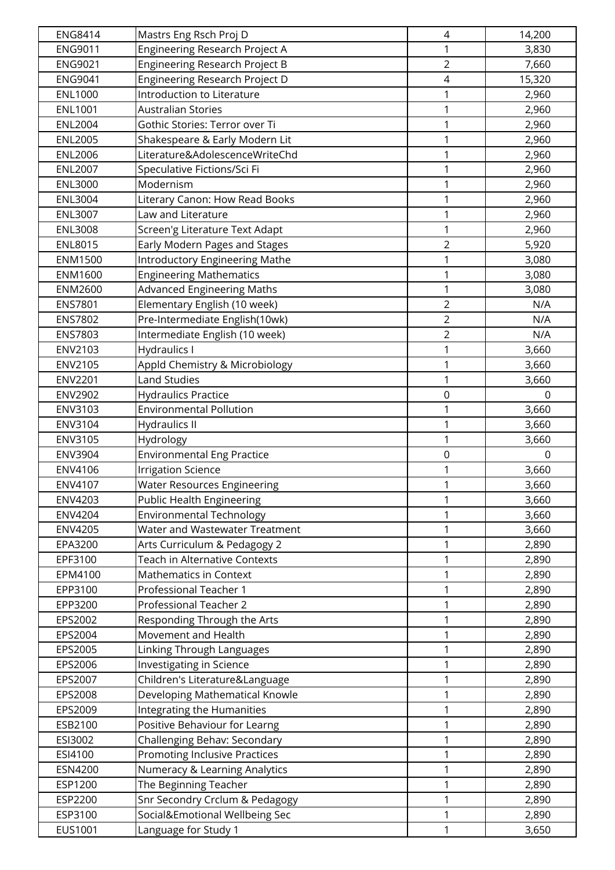| <b>ENG8414</b> | Mastrs Eng Rsch Proj D                | $\overline{4}$   | 14,200   |
|----------------|---------------------------------------|------------------|----------|
| <b>ENG9011</b> | <b>Engineering Research Project A</b> | 1                | 3,830    |
| <b>ENG9021</b> | <b>Engineering Research Project B</b> | $\overline{2}$   | 7,660    |
| <b>ENG9041</b> | Engineering Research Project D        | $\sqrt{4}$       | 15,320   |
| <b>ENL1000</b> | <b>Introduction to Literature</b>     | 1                | 2,960    |
| <b>ENL1001</b> | <b>Australian Stories</b>             | 1                | 2,960    |
| <b>ENL2004</b> | Gothic Stories: Terror over Ti        | 1                | 2,960    |
| <b>ENL2005</b> | Shakespeare & Early Modern Lit        | $\mathbf 1$      | 2,960    |
| <b>ENL2006</b> | Literature&AdolescenceWriteChd        | $\mathbf 1$      | 2,960    |
| <b>ENL2007</b> | Speculative Fictions/Sci Fi           | 1                | 2,960    |
| <b>ENL3000</b> | Modernism                             | 1                | 2,960    |
| <b>ENL3004</b> | Literary Canon: How Read Books        | 1                | 2,960    |
| <b>ENL3007</b> | Law and Literature                    | 1                | 2,960    |
| <b>ENL3008</b> | Screen'g Literature Text Adapt        | $\mathbf 1$      | 2,960    |
| <b>ENL8015</b> | Early Modern Pages and Stages         | $\overline{2}$   | 5,920    |
| <b>ENM1500</b> | <b>Introductory Engineering Mathe</b> | 1                | 3,080    |
| ENM1600        | <b>Engineering Mathematics</b>        | 1                | 3,080    |
| <b>ENM2600</b> | <b>Advanced Engineering Maths</b>     | 1                | 3,080    |
| <b>ENS7801</b> | Elementary English (10 week)          | $\overline{2}$   | N/A      |
| <b>ENS7802</b> | Pre-Intermediate English(10wk)        | $\overline{2}$   | N/A      |
| ENS7803        | Intermediate English (10 week)        | $\overline{2}$   | N/A      |
| ENV2103        | <b>Hydraulics I</b>                   | $\mathbf 1$      | 3,660    |
| ENV2105        | Appld Chemistry & Microbiology        | 1                | 3,660    |
| <b>ENV2201</b> | <b>Land Studies</b>                   | $\mathbf{1}$     | 3,660    |
| <b>ENV2902</b> | <b>Hydraulics Practice</b>            | $\boldsymbol{0}$ | 0        |
| ENV3103        | <b>Environmental Pollution</b>        | 1                | 3,660    |
| ENV3104        | <b>Hydraulics II</b>                  | $\mathbf 1$      | 3,660    |
| ENV3105        | Hydrology                             | 1                | 3,660    |
| <b>ENV3904</b> | <b>Environmental Eng Practice</b>     | $\mathbf 0$      | $\Omega$ |
| ENV4106        | <b>Irrigation Science</b>             | 1                | 3,660    |
| ENV4107        | <b>Water Resources Engineering</b>    | 1                | 3,660    |
| <b>ENV4203</b> | <b>Public Health Engineering</b>      | 1                | 3,660    |
| <b>ENV4204</b> | <b>Environmental Technology</b>       | 1                | 3,660    |
| <b>ENV4205</b> | Water and Wastewater Treatment        | 1                | 3,660    |
| EPA3200        | Arts Curriculum & Pedagogy 2          | 1                | 2,890    |
| EPF3100        | <b>Teach in Alternative Contexts</b>  | 1                | 2,890    |
| EPM4100        | Mathematics in Context                | 1                | 2,890    |
| EPP3100        | Professional Teacher 1                | 1                | 2,890    |
| EPP3200        | <b>Professional Teacher 2</b>         | 1                | 2,890    |
| EPS2002        | Responding Through the Arts           | $\mathbf{1}$     | 2,890    |
| EPS2004        | Movement and Health                   | 1                | 2,890    |
| EPS2005        | Linking Through Languages             | 1                | 2,890    |
| EPS2006        | <b>Investigating in Science</b>       | 1                | 2,890    |
| EPS2007        | Children's Literature&Language        | 1                | 2,890    |
| EPS2008        | Developing Mathematical Knowle        | 1                | 2,890    |
| EPS2009        | Integrating the Humanities            | 1                | 2,890    |
| ESB2100        | Positive Behaviour for Learng         | 1                | 2,890    |
| ESI3002        | Challenging Behav: Secondary          | 1                | 2,890    |
| ESI4100        | Promoting Inclusive Practices         | 1                | 2,890    |
| ESN4200        | Numeracy & Learning Analytics         | 1                | 2,890    |
| ESP1200        | The Beginning Teacher                 | 1                | 2,890    |
| ESP2200        | Snr Secondry Crclum & Pedagogy        | 1                | 2,890    |
| ESP3100        | Social&Emotional Wellbeing Sec        | 1                | 2,890    |
| EUS1001        | Language for Study 1                  | 1                | 3,650    |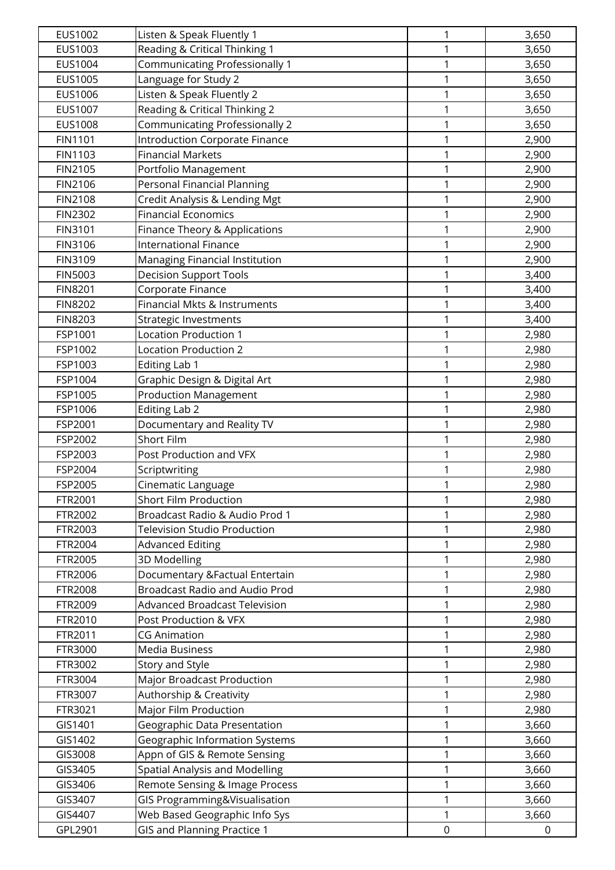| EUS1002        | Listen & Speak Fluently 1             | 1            | 3,650       |
|----------------|---------------------------------------|--------------|-------------|
| EUS1003        | Reading & Critical Thinking 1         | 1            | 3,650       |
| EUS1004        | Communicating Professionally 1        | $\mathbf{1}$ | 3,650       |
| EUS1005        | Language for Study 2                  | $\mathbf{1}$ | 3,650       |
| EUS1006        | Listen & Speak Fluently 2             | $\mathbf{1}$ | 3,650       |
| EUS1007        | Reading & Critical Thinking 2         | 1            | 3,650       |
| <b>EUS1008</b> | <b>Communicating Professionally 2</b> | 1            | 3,650       |
| <b>FIN1101</b> | <b>Introduction Corporate Finance</b> | $\mathbf{1}$ | 2,900       |
| FIN1103        | <b>Financial Markets</b>              | 1            | 2,900       |
| FIN2105        | Portfolio Management                  | $\mathbf 1$  | 2,900       |
| FIN2106        | Personal Financial Planning           | 1            | 2,900       |
| <b>FIN2108</b> | Credit Analysis & Lending Mgt         | 1            | 2,900       |
| <b>FIN2302</b> | <b>Financial Economics</b>            | 1            | 2,900       |
| FIN3101        | Finance Theory & Applications         | $\mathbf 1$  | 2,900       |
| FIN3106        | <b>International Finance</b>          | 1            | 2,900       |
| FIN3109        | Managing Financial Institution        | $\mathbf{1}$ | 2,900       |
| <b>FIN5003</b> | <b>Decision Support Tools</b>         | $\mathbf{1}$ | 3,400       |
| <b>FIN8201</b> | Corporate Finance                     | 1            | 3,400       |
| <b>FIN8202</b> | Financial Mkts & Instruments          | 1            | 3,400       |
| <b>FIN8203</b> | <b>Strategic Investments</b>          | 1            | 3,400       |
| FSP1001        | <b>Location Production 1</b>          | 1            | 2,980       |
| FSP1002        | <b>Location Production 2</b>          | $\mathbf 1$  | 2,980       |
| FSP1003        | Editing Lab 1                         | $\mathbf{1}$ | 2,980       |
| FSP1004        | Graphic Design & Digital Art          | $\mathbf{1}$ | 2,980       |
| FSP1005        | <b>Production Management</b>          | 1            | 2,980       |
| FSP1006        | Editing Lab 2                         | 1            | 2,980       |
| FSP2001        | Documentary and Reality TV            | $\mathbf 1$  | 2,980       |
| FSP2002        | <b>Short Film</b>                     | $\mathbf{1}$ | 2,980       |
| FSP2003        | Post Production and VFX               | 1            | 2,980       |
| FSP2004        | Scriptwriting                         | 1            | 2,980       |
| FSP2005        | Cinematic Language                    | 1            | 2,980       |
| FTR2001        | <b>Short Film Production</b>          | 1            | 2,980       |
| FTR2002        | Broadcast Radio & Audio Prod 1        | 1            | 2,980       |
| FTR2003        | <b>Television Studio Production</b>   | 1            | 2,980       |
| FTR2004        | <b>Advanced Editing</b>               | $\mathbf{1}$ | 2,980       |
| FTR2005        | 3D Modelling                          | 1            | 2,980       |
| FTR2006        | Documentary & Factual Entertain       | 1            | 2,980       |
| FTR2008        | Broadcast Radio and Audio Prod        | 1            | 2,980       |
| FTR2009        | Advanced Broadcast Television         | 1            | 2,980       |
| FTR2010        | Post Production & VFX                 | $\mathbf{1}$ | 2,980       |
| FTR2011        | <b>CG Animation</b>                   | 1            | 2,980       |
| FTR3000        | <b>Media Business</b>                 | $\mathbf{1}$ | 2,980       |
| FTR3002        | <b>Story and Style</b>                | 1            | 2,980       |
| FTR3004        | Major Broadcast Production            | 1            | 2,980       |
| FTR3007        | Authorship & Creativity               | 1            | 2,980       |
| FTR3021        | Major Film Production                 | 1            | 2,980       |
| GIS1401        | Geographic Data Presentation          | $\mathbf{1}$ | 3,660       |
| GIS1402        | Geographic Information Systems        | 1            | 3,660       |
| GIS3008        | Appn of GIS & Remote Sensing          | 1            | 3,660       |
| GIS3405        | Spatial Analysis and Modelling        | 1            | 3,660       |
| GIS3406        | Remote Sensing & Image Process        | 1            | 3,660       |
| GIS3407        | GIS Programming&Visualisation         | $\mathbf{1}$ | 3,660       |
| GIS4407        | Web Based Geographic Info Sys         | 1            | 3,660       |
| GPL2901        | <b>GIS and Planning Practice 1</b>    | $\mathsf 0$  | $\mathbf 0$ |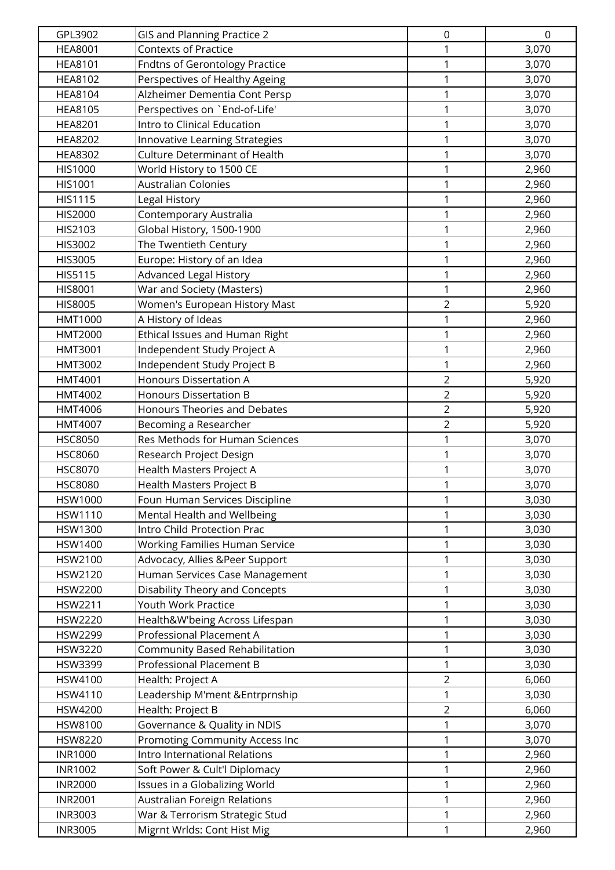| GPL3902                          | <b>GIS and Planning Practice 2</b>                                   | $\mathbf 0$    | $\mathbf 0$    |
|----------------------------------|----------------------------------------------------------------------|----------------|----------------|
| <b>HEA8001</b>                   | <b>Contexts of Practice</b>                                          | 1              | 3,070          |
| <b>HEA8101</b>                   | <b>Fndtns of Gerontology Practice</b>                                | $\mathbf 1$    | 3,070          |
| <b>HEA8102</b>                   | Perspectives of Healthy Ageing                                       | $\mathbf{1}$   | 3,070          |
| <b>HEA8104</b>                   | Alzheimer Dementia Cont Persp                                        | $\mathbf{1}$   | 3,070          |
| <b>HEA8105</b>                   | Perspectives on `End-of-Life'                                        | 1              | 3,070          |
| <b>HEA8201</b>                   | Intro to Clinical Education                                          | 1              | 3,070          |
| <b>HEA8202</b>                   | Innovative Learning Strategies                                       | $\mathbf 1$    | 3,070          |
| <b>HEA8302</b>                   | Culture Determinant of Health                                        | $\mathbf{1}$   | 3,070          |
| <b>HIS1000</b>                   | World History to 1500 CE                                             | $\mathbf{1}$   | 2,960          |
| HIS1001                          | <b>Australian Colonies</b>                                           | $\mathbf{1}$   | 2,960          |
| HIS1115                          | Legal History                                                        | 1              | 2,960          |
| HIS2000                          | Contemporary Australia                                               | 1              | 2,960          |
| HIS2103                          | Global History, 1500-1900                                            | $\mathbf{1}$   | 2,960          |
| HIS3002                          | The Twentieth Century                                                | $\mathbf{1}$   | 2,960          |
| HIS3005                          | Europe: History of an Idea                                           | $\mathbf{1}$   | 2,960          |
| HIS5115                          | <b>Advanced Legal History</b>                                        | $\mathbf{1}$   | 2,960          |
| HIS8001                          | War and Society (Masters)                                            | $\mathbf{1}$   | 2,960          |
| <b>HIS8005</b>                   | Women's European History Mast                                        | $\overline{2}$ | 5,920          |
| HMT1000                          | A History of Ideas                                                   | 1              | 2,960          |
| <b>HMT2000</b>                   | Ethical Issues and Human Right                                       | 1              | 2,960          |
| HMT3001                          | Independent Study Project A                                          | $\mathbf{1}$   | 2,960          |
| <b>HMT3002</b>                   | Independent Study Project B                                          | $\mathbf{1}$   | 2,960          |
| HMT4001                          | <b>Honours Dissertation A</b>                                        | $\overline{2}$ | 5,920          |
| HMT4002                          | <b>Honours Dissertation B</b>                                        | $\overline{2}$ | 5,920          |
| HMT4006                          | <b>Honours Theories and Debates</b>                                  | $\overline{2}$ | 5,920          |
| HMT4007                          | Becoming a Researcher                                                | $\overline{2}$ | 5,920          |
| <b>HSC8050</b>                   | Res Methods for Human Sciences                                       | $\mathbf{1}$   | 3,070          |
| <b>HSC8060</b>                   | Research Project Design                                              | $\mathbf{1}$   | 3,070          |
| <b>HSC8070</b>                   | Health Masters Project A                                             | 1              | 3,070          |
| <b>HSC8080</b>                   | Health Masters Project B                                             | 1              | 3,070          |
| <b>HSW1000</b>                   | Foun Human Services Discipline                                       | 1              | 3,030          |
| <b>HSW1110</b>                   | Mental Health and Wellbeing                                          | 1              | 3,030          |
| HSW1300                          | Intro Child Protection Prac                                          | $\mathbf{1}$   | 3,030          |
| HSW1400                          | <b>Working Families Human Service</b>                                | $\mathbf{1}$   | 3,030          |
| HSW2100                          | Advocacy, Allies &Peer Support                                       | $\mathbf{1}$   | 3,030          |
| HSW2120                          | Human Services Case Management                                       | 1              | 3,030          |
| HSW2200                          | <b>Disability Theory and Concepts</b>                                | 1              | 3,030          |
| HSW2211                          | <b>Youth Work Practice</b>                                           | 1              | 3,030          |
| <b>HSW2220</b>                   | Health&W'being Across Lifespan                                       | $\mathbf{1}$   | 3,030          |
| <b>HSW2299</b>                   | Professional Placement A                                             | $\mathbf{1}$   | 3,030          |
| HSW3220                          | Community Based Rehabilitation                                       | 1              | 3,030          |
| <b>HSW3399</b>                   | Professional Placement B                                             | $\mathbf{1}$   | 3,030          |
| HSW4100                          | Health: Project A                                                    | $\overline{2}$ | 6,060          |
| HSW4110                          | Leadership M'ment & Entrprnship                                      | 1              | 3,030          |
| HSW4200                          | Health: Project B                                                    | $\overline{2}$ | 6,060          |
| HSW8100                          | Governance & Quality in NDIS                                         | 1              | 3,070          |
| HSW8220                          | Promoting Community Access Inc                                       | 1              | 3,070          |
| <b>INR1000</b>                   | Intro International Relations                                        | $\mathbf{1}$   | 2,960          |
| <b>INR1002</b>                   | Soft Power & Cult'l Diplomacy                                        | 1              | 2,960          |
| <b>INR2000</b><br><b>INR2001</b> | Issues in a Globalizing World<br><b>Australian Foreign Relations</b> | 1<br>1         | 2,960          |
| <b>INR3003</b>                   | War & Terrorism Strategic Stud                                       | $\mathbf 1$    | 2,960<br>2,960 |
| <b>INR3005</b>                   | Migrnt Wrlds: Cont Hist Mig                                          | 1              | 2,960          |
|                                  |                                                                      |                |                |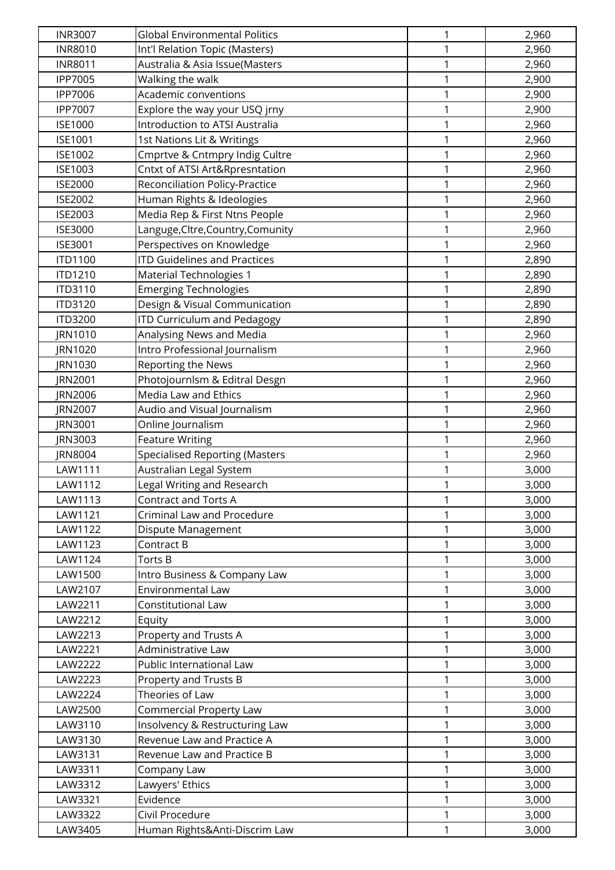| <b>INR3007</b> | <b>Global Environmental Politics</b>  | 1            | 2,960 |
|----------------|---------------------------------------|--------------|-------|
| <b>INR8010</b> | Int'l Relation Topic (Masters)        | 1            | 2,960 |
| <b>INR8011</b> | Australia & Asia Issue(Masters        | $\mathbf{1}$ | 2,960 |
| <b>IPP7005</b> | Walking the walk                      | 1            | 2,900 |
| <b>IPP7006</b> | Academic conventions                  | $\mathbf{1}$ | 2,900 |
| <b>IPP7007</b> | Explore the way your USQ jrny         | 1            | 2,900 |
| <b>ISE1000</b> | Introduction to ATSI Australia        | 1            | 2,960 |
| <b>ISE1001</b> | 1st Nations Lit & Writings            | $\mathbf 1$  | 2,960 |
| <b>ISE1002</b> | Cmprtve & Cntmpry Indig Cultre        | $\mathbf{1}$ | 2,960 |
| <b>ISE1003</b> | Cntxt of ATSI Art&Rpresntation        | 1            | 2,960 |
| <b>ISE2000</b> | <b>Reconciliation Policy-Practice</b> | 1            | 2,960 |
| <b>ISE2002</b> | Human Rights & Ideologies             | 1            | 2,960 |
| ISE2003        | Media Rep & First Ntns People         | 1            | 2,960 |
| <b>ISE3000</b> | Languge, Cltre, Country, Comunity     | $\mathbf{1}$ | 2,960 |
| ISE3001        | Perspectives on Knowledge             | $\mathbf{1}$ | 2,960 |
| <b>ITD1100</b> | <b>ITD Guidelines and Practices</b>   | 1            | 2,890 |
| ITD1210        | <b>Material Technologies 1</b>        | 1            | 2,890 |
| ITD3110        | <b>Emerging Technologies</b>          | 1            | 2,890 |
| ITD3120        | Design & Visual Communication         | 1            | 2,890 |
| <b>ITD3200</b> | <b>ITD Curriculum and Pedagogy</b>    | 1            | 2,890 |
| JRN1010        | Analysing News and Media              | 1            | 2,960 |
| JRN1020        | Intro Professional Journalism         | $\mathbf{1}$ | 2,960 |
| JRN1030        | Reporting the News                    | 1            | 2,960 |
| JRN2001        | Photojournlsm & Editral Desgn         | $\mathbf{1}$ | 2,960 |
| JRN2006        | Media Law and Ethics                  | 1            | 2,960 |
| JRN2007        | Audio and Visual Journalism           | 1            | 2,960 |
| JRN3001        | Online Journalism                     | $\mathbf{1}$ | 2,960 |
| JRN3003        | <b>Feature Writing</b>                | 1            | 2,960 |
| JRN8004        | <b>Specialised Reporting (Masters</b> | 1            | 2,960 |
| LAW1111        | Australian Legal System               | 1            | 3,000 |
| LAW1112        | Legal Writing and Research            | 1            | 3,000 |
| LAW1113        | <b>Contract and Torts A</b>           | 1            | 3,000 |
| LAW1121        | Criminal Law and Procedure            | 1            | 3,000 |
| LAW1122        | Dispute Management                    | $\mathbf{1}$ | 3,000 |
| LAW1123        | Contract B                            | 1            | 3,000 |
| LAW1124        | Torts B                               | 1            | 3,000 |
| LAW1500        | Intro Business & Company Law          | 1            | 3,000 |
| LAW2107        | Environmental Law                     | 1            | 3,000 |
| LAW2211        | Constitutional Law                    | 1            | 3,000 |
| LAW2212        | Equity                                | $\mathbf{1}$ | 3,000 |
| LAW2213        | Property and Trusts A                 | $\mathbf{1}$ | 3,000 |
| LAW2221        | Administrative Law                    | 1            | 3,000 |
| LAW2222        | Public International Law              | $\mathbf{1}$ | 3,000 |
| LAW2223        | Property and Trusts B                 | 1            | 3,000 |
| LAW2224        | Theories of Law                       | 1            | 3,000 |
| LAW2500        | <b>Commercial Property Law</b>        | 1            | 3,000 |
| LAW3110        | Insolvency & Restructuring Law        | 1            | 3,000 |
| LAW3130        | Revenue Law and Practice A            | 1            | 3,000 |
| LAW3131        | Revenue Law and Practice B            | $\mathbf{1}$ | 3,000 |
| LAW3311        | Company Law                           | 1            | 3,000 |
| LAW3312        | Lawyers' Ethics                       | 1            | 3,000 |
| LAW3321        | Evidence                              | 1            | 3,000 |
| LAW3322        | Civil Procedure                       | 1            | 3,000 |
| LAW3405        | Human Rights&Anti-Discrim Law         | 1            | 3,000 |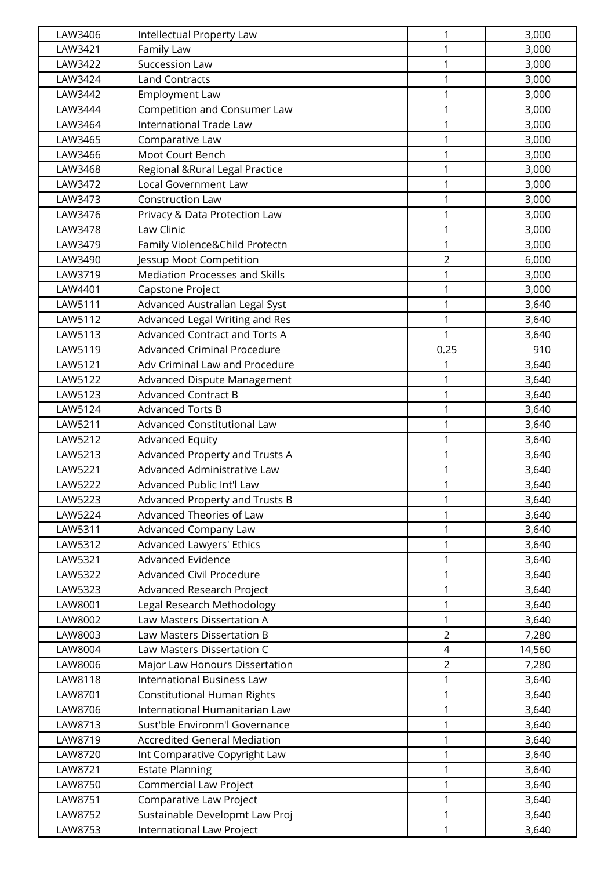| LAW3406 | <b>Intellectual Property Law</b>      | 1              | 3,000  |
|---------|---------------------------------------|----------------|--------|
| LAW3421 | Family Law                            | $\mathbf{1}$   | 3,000  |
| LAW3422 | Succession Law                        | $\mathbf{1}$   | 3,000  |
| LAW3424 | <b>Land Contracts</b>                 | 1              | 3,000  |
| LAW3442 | <b>Employment Law</b>                 | $\mathbf{1}$   | 3,000  |
| LAW3444 | Competition and Consumer Law          | 1              | 3,000  |
| LAW3464 | <b>International Trade Law</b>        | 1              | 3,000  |
| LAW3465 | Comparative Law                       | $\mathbf 1$    | 3,000  |
| LAW3466 | Moot Court Bench                      | $\mathbf{1}$   | 3,000  |
| LAW3468 | Regional & Rural Legal Practice       | $\mathbf 1$    | 3,000  |
| LAW3472 | <b>Local Government Law</b>           | $\mathbf{1}$   | 3,000  |
| LAW3473 | Construction Law                      | 1              | 3,000  |
| LAW3476 | Privacy & Data Protection Law         | 1              | 3,000  |
| LAW3478 | Law Clinic                            | $\mathbf 1$    | 3,000  |
| LAW3479 | Family Violence&Child Protectn        | 1              | 3,000  |
| LAW3490 | Jessup Moot Competition               | $\overline{2}$ | 6,000  |
| LAW3719 | <b>Mediation Processes and Skills</b> | $\mathbf 1$    | 3,000  |
| LAW4401 | Capstone Project                      | 1              | 3,000  |
| LAW5111 | Advanced Australian Legal Syst        | 1              | 3,640  |
| LAW5112 | <b>Advanced Legal Writing and Res</b> | 1              | 3,640  |
| LAW5113 | <b>Advanced Contract and Torts A</b>  | 1              | 3,640  |
| LAW5119 | <b>Advanced Criminal Procedure</b>    | 0.25           | 910    |
| LAW5121 | Adv Criminal Law and Procedure        | 1              | 3,640  |
| LAW5122 | Advanced Dispute Management           | $\mathbf{1}$   | 3,640  |
| LAW5123 | <b>Advanced Contract B</b>            | 1              | 3,640  |
| LAW5124 | <b>Advanced Torts B</b>               | 1              | 3,640  |
| LAW5211 | <b>Advanced Constitutional Law</b>    | $\mathbf 1$    | 3,640  |
| LAW5212 | <b>Advanced Equity</b>                | 1              | 3,640  |
| LAW5213 | Advanced Property and Trusts A        | $\mathbf 1$    | 3,640  |
| LAW5221 | Advanced Administrative Law           | 1              | 3,640  |
| LAW5222 | Advanced Public Int'l Law             | 1              | 3,640  |
| LAW5223 | Advanced Property and Trusts B        | 1              | 3,640  |
| LAW5224 | Advanced Theories of Law              | 1              | 3,640  |
| LAW5311 | <b>Advanced Company Law</b>           | 1              | 3,640  |
| LAW5312 | <b>Advanced Lawyers' Ethics</b>       | 1              | 3,640  |
| LAW5321 | <b>Advanced Evidence</b>              | 1              | 3,640  |
| LAW5322 | <b>Advanced Civil Procedure</b>       | 1              | 3,640  |
| LAW5323 | <b>Advanced Research Project</b>      | 1              | 3,640  |
| LAW8001 | Legal Research Methodology            | 1              | 3,640  |
| LAW8002 | Law Masters Dissertation A            | $\mathbf{1}$   | 3,640  |
| LAW8003 | Law Masters Dissertation B            | $\overline{2}$ | 7,280  |
| LAW8004 | Law Masters Dissertation C            | $\overline{4}$ | 14,560 |
| LAW8006 | Major Law Honours Dissertation        | $\overline{2}$ | 7,280  |
| LAW8118 | <b>International Business Law</b>     | 1              | 3,640  |
| LAW8701 | Constitutional Human Rights           | 1              | 3,640  |
| LAW8706 | International Humanitarian Law        | 1              | 3,640  |
| LAW8713 | Sust'ble Environm'l Governance        | 1              | 3,640  |
| LAW8719 | <b>Accredited General Mediation</b>   | $\mathbf{1}$   | 3,640  |
| LAW8720 | Int Comparative Copyright Law         | 1              | 3,640  |
| LAW8721 | <b>Estate Planning</b>                | 1              | 3,640  |
| LAW8750 | Commercial Law Project                | 1              | 3,640  |
| LAW8751 | Comparative Law Project               | 1              | 3,640  |
| LAW8752 | Sustainable Developmt Law Proj        | 1              | 3,640  |
| LAW8753 | International Law Project             | 1              | 3,640  |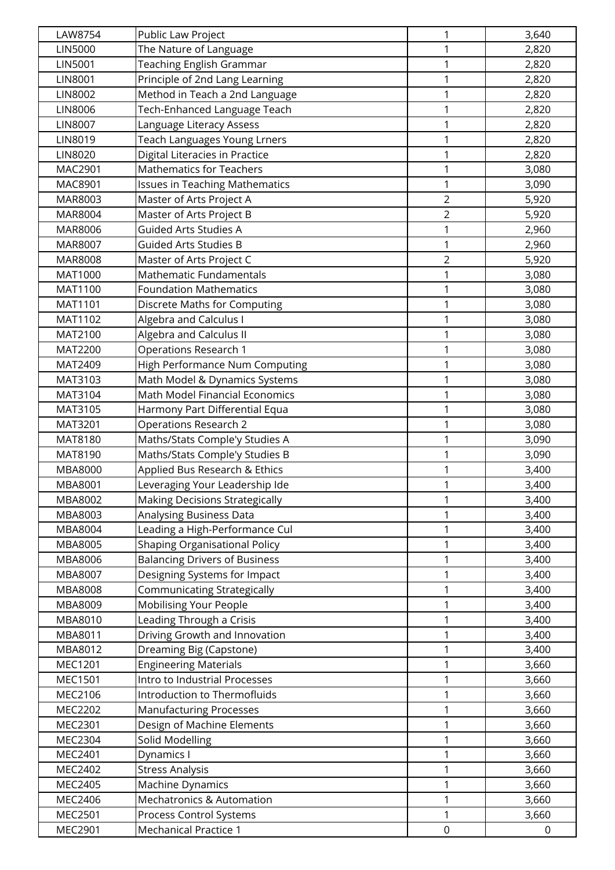| LAW8754        | Public Law Project                    | $\mathbf{1}$   | 3,640       |
|----------------|---------------------------------------|----------------|-------------|
| <b>LIN5000</b> | The Nature of Language                | 1              | 2,820       |
| <b>LIN5001</b> | <b>Teaching English Grammar</b>       | $\mathbf{1}$   | 2,820       |
| LIN8001        | Principle of 2nd Lang Learning        | 1              | 2,820       |
| <b>LIN8002</b> | Method in Teach a 2nd Language        | 1              | 2,820       |
| <b>LIN8006</b> | Tech-Enhanced Language Teach          | 1              | 2,820       |
| <b>LIN8007</b> | Language Literacy Assess              | $\mathbf{1}$   | 2,820       |
| LIN8019        | <b>Teach Languages Young Lrners</b>   | $\mathbf{1}$   | 2,820       |
| <b>LIN8020</b> | Digital Literacies in Practice        | $\mathbf{1}$   | 2,820       |
| MAC2901        | <b>Mathematics for Teachers</b>       | 1              | 3,080       |
| MAC8901        | <b>Issues in Teaching Mathematics</b> | 1              | 3,090       |
| MAR8003        | Master of Arts Project A              | $\overline{2}$ | 5,920       |
| MAR8004        | Master of Arts Project B              | $\overline{2}$ | 5,920       |
| MAR8006        | <b>Guided Arts Studies A</b>          | 1              | 2,960       |
| MAR8007        | <b>Guided Arts Studies B</b>          | $\mathbf{1}$   | 2,960       |
| MAR8008        | Master of Arts Project C              | $\overline{2}$ | 5,920       |
| MAT1000        | <b>Mathematic Fundamentals</b>        | 1              | 3,080       |
| MAT1100        | <b>Foundation Mathematics</b>         | 1              | 3,080       |
| MAT1101        | Discrete Maths for Computing          | $\mathbf{1}$   | 3,080       |
| MAT1102        | Algebra and Calculus I                | $\mathbf{1}$   | 3,080       |
| MAT2100        | Algebra and Calculus II               | 1              | 3,080       |
| MAT2200        | Operations Research 1                 | $\mathbf{1}$   | 3,080       |
| MAT2409        | High Performance Num Computing        | 1              | 3,080       |
| MAT3103        | Math Model & Dynamics Systems         | 1              | 3,080       |
| MAT3104        | Math Model Financial Economics        | 1              | 3,080       |
| MAT3105        | Harmony Part Differential Equa        | 1              | 3,080       |
| MAT3201        | <b>Operations Research 2</b>          | $\mathbf{1}$   | 3,080       |
| MAT8180        | Maths/Stats Comple'y Studies A        | 1              | 3,090       |
| MAT8190        | Maths/Stats Comple'y Studies B        | 1              | 3,090       |
| MBA8000        | Applied Bus Research & Ethics         | 1              | 3,400       |
| MBA8001        | Leveraging Your Leadership Ide        | 1              | 3,400       |
| MBA8002        | <b>Making Decisions Strategically</b> | 1              | 3,400       |
| MBA8003        | Analysing Business Data               | 1              | 3,400       |
| MBA8004        | Leading a High-Performance Cul        | $\mathbf{1}$   | 3,400       |
| MBA8005        | <b>Shaping Organisational Policy</b>  | 1              | 3,400       |
| MBA8006        | <b>Balancing Drivers of Business</b>  | 1              | 3,400       |
| MBA8007        | Designing Systems for Impact          | 1              | 3,400       |
| MBA8008        | Communicating Strategically           | 1              | 3,400       |
| MBA8009        | Mobilising Your People                | 1              | 3,400       |
| MBA8010        | Leading Through a Crisis              | $\mathbf{1}$   | 3,400       |
| MBA8011        | Driving Growth and Innovation         | $\mathbf{1}$   | 3,400       |
| MBA8012        | Dreaming Big (Capstone)               | 1              | 3,400       |
| MEC1201        | <b>Engineering Materials</b>          | 1              | 3,660       |
| <b>MEC1501</b> | Intro to Industrial Processes         | 1              | 3,660       |
| MEC2106        | Introduction to Thermofluids          | 1              | 3,660       |
| MEC2202        | <b>Manufacturing Processes</b>        | $\mathbf{1}$   | 3,660       |
| MEC2301        | Design of Machine Elements            | 1              | 3,660       |
| MEC2304        | Solid Modelling                       | 1              | 3,660       |
| MEC2401        | Dynamics I                            | 1              | 3,660       |
| MEC2402        | <b>Stress Analysis</b>                | 1              | 3,660       |
| MEC2405        | Machine Dynamics                      | 1              | 3,660       |
| MEC2406        | <b>Mechatronics &amp; Automation</b>  | $\mathbf{1}$   | 3,660       |
| MEC2501        | Process Control Systems               | 1              | 3,660       |
| MEC2901        | <b>Mechanical Practice 1</b>          | $\mathbf 0$    | $\mathbf 0$ |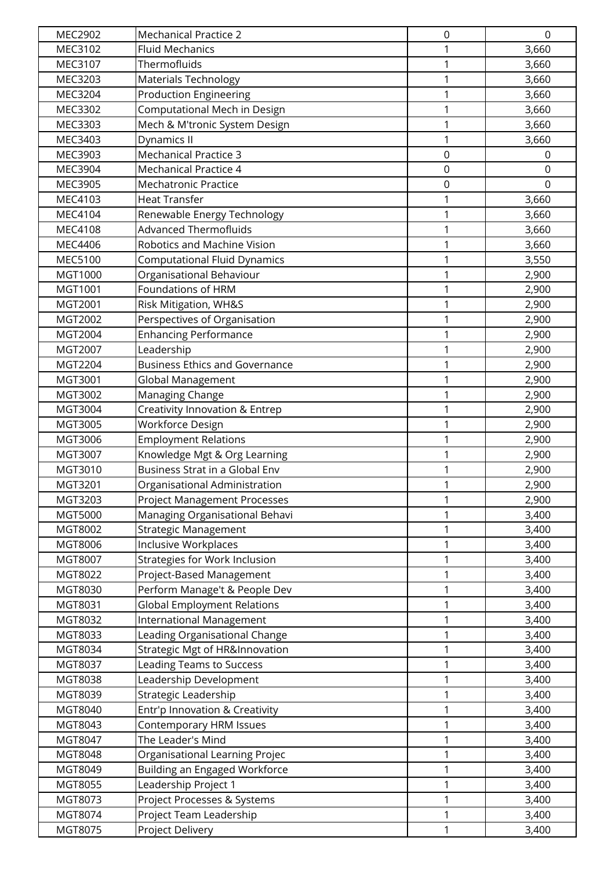| <b>MEC2902</b>     | <b>Mechanical Practice 2</b>                           | 0           | $\mathbf 0$    |
|--------------------|--------------------------------------------------------|-------------|----------------|
| MEC3102            | <b>Fluid Mechanics</b>                                 | 1           | 3,660          |
| MEC3107            | Thermofluids                                           | 1           | 3,660          |
| MEC3203            | <b>Materials Technology</b>                            | 1           | 3,660          |
| MEC3204            | <b>Production Engineering</b>                          | 1           | 3,660          |
| MEC3302            | Computational Mech in Design                           | 1           | 3,660          |
| MEC3303            | Mech & M'tronic System Design                          | 1           | 3,660          |
| MEC3403            | Dynamics II                                            | 1           | 3,660          |
| MEC3903            | <b>Mechanical Practice 3</b>                           | $\mathbf 0$ | $\mathbf 0$    |
| MEC3904            | <b>Mechanical Practice 4</b>                           | $\mathsf 0$ | 0              |
| MEC3905            | <b>Mechatronic Practice</b>                            | $\mathbf 0$ | $\Omega$       |
| MEC4103            | <b>Heat Transfer</b>                                   | 1           | 3,660          |
| MEC4104            | Renewable Energy Technology                            | 1           | 3,660          |
| <b>MEC4108</b>     | <b>Advanced Thermofluids</b>                           | 1           | 3,660          |
| MEC4406            | Robotics and Machine Vision                            | 1           | 3,660          |
| <b>MEC5100</b>     | <b>Computational Fluid Dynamics</b>                    | 1           | 3,550          |
| MGT1000            | Organisational Behaviour                               | 1           | 2,900          |
| MGT1001            | Foundations of HRM                                     | 1           | 2,900          |
| MGT2001            | Risk Mitigation, WH&S                                  | 1           | 2,900          |
| MGT2002            | Perspectives of Organisation                           | 1           | 2,900          |
| MGT2004            | <b>Enhancing Performance</b>                           | 1           | 2,900          |
| MGT2007            | Leadership                                             | $\mathbf 1$ | 2,900          |
| MGT2204            | <b>Business Ethics and Governance</b>                  | 1           | 2,900          |
| MGT3001            | Global Management                                      | 1           | 2,900          |
| MGT3002            | Managing Change                                        | 1           | 2,900          |
| MGT3004            | Creativity Innovation & Entrep                         | 1           | 2,900          |
| MGT3005            | Workforce Design                                       | 1           | 2,900          |
| MGT3006            | <b>Employment Relations</b>                            | 1           | 2,900          |
| MGT3007            | Knowledge Mgt & Org Learning                           | 1           | 2,900          |
| MGT3010            | Business Strat in a Global Env                         | 1           | 2,900          |
| MGT3201            | Organisational Administration                          | 1           | 2,900          |
| MGT3203            | <b>Project Management Processes</b>                    | 1           | 2,900          |
| MGT5000            | Managing Organisational Behavi                         | 1           | 3,400          |
| MGT8002            | Strategic Management                                   | 1           | 3,400          |
| MGT8006            | <b>Inclusive Workplaces</b>                            | 1           | 3,400          |
| MGT8007            | Strategies for Work Inclusion                          | 1           | 3,400          |
| MGT8022            | Project-Based Management                               | 1           | 3,400          |
| MGT8030            | Perform Manage't & People Dev                          | 1           | 3,400          |
| MGT8031            | <b>Global Employment Relations</b>                     | 1           | 3,400          |
| MGT8032            | <b>International Management</b>                        | 1           | 3,400          |
| MGT8033            | Leading Organisational Change                          | 1           | 3,400          |
| MGT8034            | Strategic Mgt of HR&Innovation                         | 1           | 3,400          |
| MGT8037            | <b>Leading Teams to Success</b>                        | 1           | 3,400          |
| MGT8038            | Leadership Development                                 | 1           | 3,400          |
| MGT8039            | Strategic Leadership                                   | 1           | 3,400          |
| MGT8040            | Entr'p Innovation & Creativity                         | 1           | 3,400          |
| MGT8043            | Contemporary HRM Issues                                | 1           | 3,400          |
| MGT8047            | The Leader's Mind                                      | 1           | 3,400          |
| MGT8048            | Organisational Learning Projec                         | 1           | 3,400          |
| MGT8049            | <b>Building an Engaged Workforce</b>                   | 1           | 3,400          |
| MGT8055            | Leadership Project 1                                   | 1           | 3,400          |
| MGT8073<br>MGT8074 | Project Processes & Systems<br>Project Team Leadership | 1<br>1      | 3,400<br>3,400 |
|                    |                                                        |             |                |
| MGT8075            | Project Delivery                                       | 1           | 3,400          |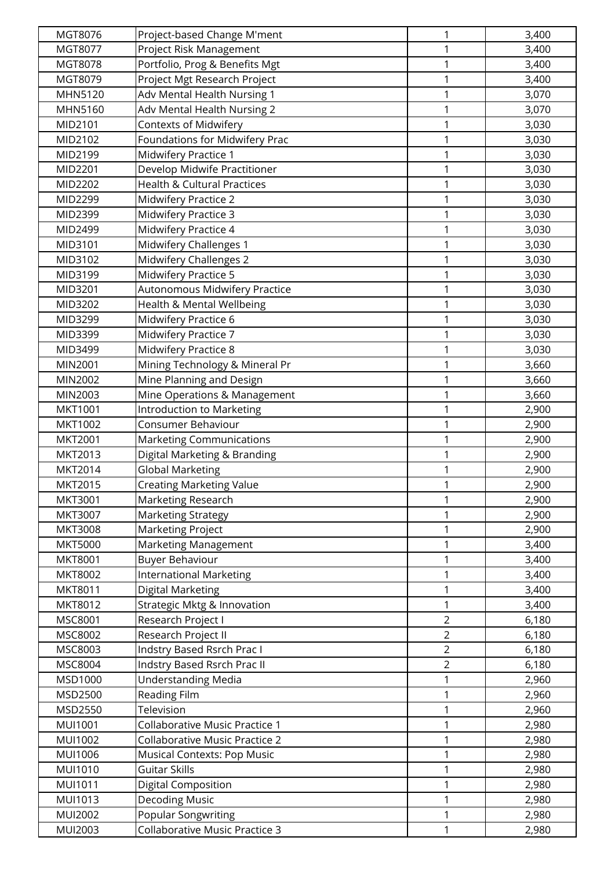| MGT8076        | Project-based Change M'ment            | 1              | 3,400 |
|----------------|----------------------------------------|----------------|-------|
| MGT8077        | Project Risk Management                | 1              | 3,400 |
| MGT8078        | Portfolio, Prog & Benefits Mgt         | 1              | 3,400 |
| MGT8079        | Project Mgt Research Project           | 1              | 3,400 |
| MHN5120        | Adv Mental Health Nursing 1            | 1              | 3,070 |
| MHN5160        | Adv Mental Health Nursing 2            | 1              | 3,070 |
| MID2101        | Contexts of Midwifery                  | 1              | 3,030 |
| MID2102        | Foundations for Midwifery Prac         | $\mathbf{1}$   | 3,030 |
| MID2199        | Midwifery Practice 1                   | 1              | 3,030 |
| MID2201        | Develop Midwife Practitioner           | 1              | 3,030 |
| MID2202        | <b>Health &amp; Cultural Practices</b> | 1              | 3,030 |
| MID2299        | Midwifery Practice 2                   | 1              | 3,030 |
| MID2399        | <b>Midwifery Practice 3</b>            | 1              | 3,030 |
| MID2499        | Midwifery Practice 4                   | 1              | 3,030 |
| MID3101        | Midwifery Challenges 1                 | 1              | 3,030 |
| MID3102        | Midwifery Challenges 2                 | 1              | 3,030 |
| MID3199        | Midwifery Practice 5                   | 1              | 3,030 |
| MID3201        | Autonomous Midwifery Practice          | 1              | 3,030 |
| MID3202        | Health & Mental Wellbeing              | 1              | 3,030 |
| MID3299        | Midwifery Practice 6                   | $\mathbf 1$    | 3,030 |
| MID3399        | Midwifery Practice 7                   | 1              | 3,030 |
| MID3499        | Midwifery Practice 8                   | 1              | 3,030 |
| MIN2001        | Mining Technology & Mineral Pr         | 1              | 3,660 |
| MIN2002        | Mine Planning and Design               | 1              | 3,660 |
| MIN2003        | Mine Operations & Management           | 1              | 3,660 |
| MKT1001        | Introduction to Marketing              | $\mathbf 1$    | 2,900 |
| MKT1002        | Consumer Behaviour                     | 1              | 2,900 |
| <b>MKT2001</b> | <b>Marketing Communications</b>        | 1              | 2,900 |
| MKT2013        | Digital Marketing & Branding           | 1              | 2,900 |
| MKT2014        | <b>Global Marketing</b>                | 1              | 2,900 |
| <b>MKT2015</b> | <b>Creating Marketing Value</b>        | 1              | 2,900 |
| <b>MKT3001</b> | Marketing Research                     | 1              | 2,900 |
| MKT3007        | Marketing Strategy                     | 1              | 2,900 |
| <b>MKT3008</b> | Marketing Project                      | 1              | 2,900 |
| <b>MKT5000</b> | Marketing Management                   | 1              | 3,400 |
| <b>MKT8001</b> | <b>Buyer Behaviour</b>                 | 1              | 3,400 |
| MKT8002        | <b>International Marketing</b>         | 1              | 3,400 |
| MKT8011        | Digital Marketing                      | 1              | 3,400 |
| MKT8012        | Strategic Mktg & Innovation            | 1              | 3,400 |
| MSC8001        | Research Project I                     | $\overline{2}$ | 6,180 |
| MSC8002        | Research Project II                    | $\overline{2}$ | 6,180 |
| MSC8003        | Indstry Based Rsrch Prac I             | $\overline{2}$ | 6,180 |
| MSC8004        | Indstry Based Rsrch Prac II            | $\overline{2}$ | 6,180 |
| MSD1000        | <b>Understanding Media</b>             | 1              | 2,960 |
| MSD2500        | Reading Film                           | 1              | 2,960 |
| MSD2550        | Television                             | 1              | 2,960 |
| <b>MUI1001</b> | Collaborative Music Practice 1         | 1              | 2,980 |
| MUI1002        | <b>Collaborative Music Practice 2</b>  | 1              | 2,980 |
| MUI1006        | <b>Musical Contexts: Pop Music</b>     | 1              | 2,980 |
| MUI1010        | <b>Guitar Skills</b>                   | 1              | 2,980 |
| MUI1011        | Digital Composition                    | 1              | 2,980 |
| MUI1013        | <b>Decoding Music</b>                  | 1              | 2,980 |
| <b>MUI2002</b> | Popular Songwriting                    | 1              | 2,980 |
| MUI2003        | <b>Collaborative Music Practice 3</b>  | 1              | 2,980 |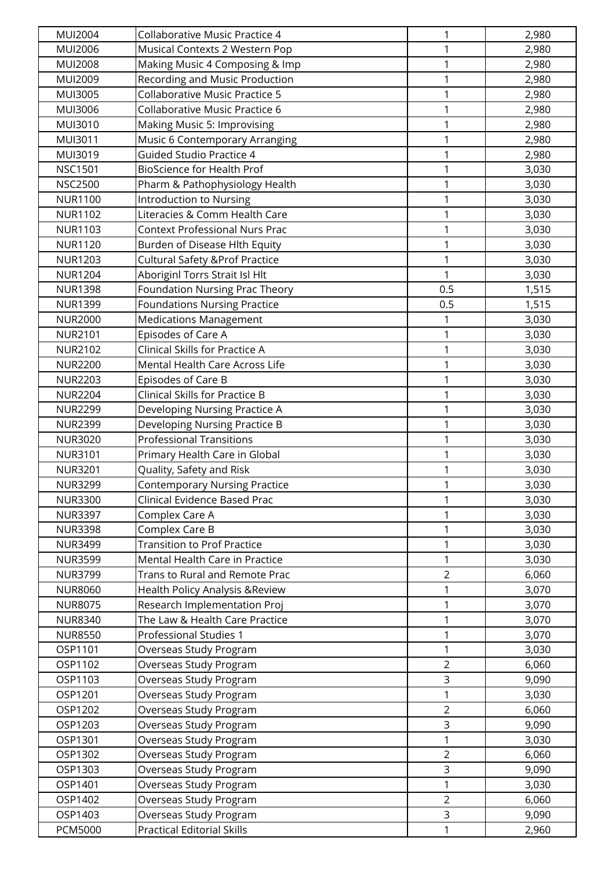| <b>MUI2004</b> | Collaborative Music Practice 4             | 1              | 2,980 |
|----------------|--------------------------------------------|----------------|-------|
| MUI2006        | Musical Contexts 2 Western Pop             | 1              | 2,980 |
| <b>MUI2008</b> | Making Music 4 Composing & Imp             | 1              | 2,980 |
| MUI2009        | Recording and Music Production             | $\mathbf{1}$   | 2,980 |
| MUI3005        | Collaborative Music Practice 5             | 1              | 2,980 |
| MUI3006        | Collaborative Music Practice 6             | 1              | 2,980 |
| MUI3010        | Making Music 5: Improvising                | 1              | 2,980 |
| MUI3011        | Music 6 Contemporary Arranging             | $\mathbf{1}$   | 2,980 |
| MUI3019        | <b>Guided Studio Practice 4</b>            | 1              | 2,980 |
| <b>NSC1501</b> | <b>BioScience for Health Prof</b>          | $\mathbf 1$    | 3,030 |
| <b>NSC2500</b> | Pharm & Pathophysiology Health             | 1              | 3,030 |
| <b>NUR1100</b> | <b>Introduction to Nursing</b>             | 1              | 3,030 |
| <b>NUR1102</b> | Literacies & Comm Health Care              | 1              | 3,030 |
| <b>NUR1103</b> | <b>Context Professional Nurs Prac</b>      | 1              | 3,030 |
| <b>NUR1120</b> | Burden of Disease Hlth Equity              | 1              | 3,030 |
| <b>NUR1203</b> | <b>Cultural Safety &amp; Prof Practice</b> | 1              | 3,030 |
| <b>NUR1204</b> | Aboriginl Torrs Strait Isl Hlt             | 1              | 3,030 |
| <b>NUR1398</b> | <b>Foundation Nursing Prac Theory</b>      | 0.5            | 1,515 |
| <b>NUR1399</b> | <b>Foundations Nursing Practice</b>        | 0.5            | 1,515 |
| <b>NUR2000</b> | <b>Medications Management</b>              | 1              | 3,030 |
| <b>NUR2101</b> | Episodes of Care A                         | 1              | 3,030 |
| <b>NUR2102</b> | Clinical Skills for Practice A             | $\mathbf 1$    | 3,030 |
| <b>NUR2200</b> | Mental Health Care Across Life             | 1              | 3,030 |
| <b>NUR2203</b> | Episodes of Care B                         | 1              | 3,030 |
| <b>NUR2204</b> | Clinical Skills for Practice B             | 1              | 3,030 |
| <b>NUR2299</b> | Developing Nursing Practice A              | $\mathbf 1$    | 3,030 |
| <b>NUR2399</b> | Developing Nursing Practice B              | 1              | 3,030 |
| <b>NUR3020</b> | <b>Professional Transitions</b>            | 1              | 3,030 |
| <b>NUR3101</b> | Primary Health Care in Global              | 1              | 3,030 |
| <b>NUR3201</b> | Quality, Safety and Risk                   | 1              | 3,030 |
| <b>NUR3299</b> | <b>Contemporary Nursing Practice</b>       | 1              | 3,030 |
| <b>NUR3300</b> | Clinical Evidence Based Prac               | 1              | 3,030 |
| <b>NUR3397</b> | Complex Care A                             | $\mathbf{1}$   | 3,030 |
| <b>NUR3398</b> | Complex Care B                             | $\mathbf{1}$   | 3,030 |
| <b>NUR3499</b> | <b>Transition to Prof Practice</b>         | $\mathbf{1}$   | 3,030 |
| <b>NUR3599</b> | Mental Health Care in Practice             | $\mathbf{1}$   | 3,030 |
| <b>NUR3799</b> | Trans to Rural and Remote Prac             | $\overline{2}$ | 6,060 |
| <b>NUR8060</b> | Health Policy Analysis & Review            | 1              | 3,070 |
| <b>NUR8075</b> | Research Implementation Proj               | $\mathbf{1}$   | 3,070 |
| <b>NUR8340</b> | The Law & Health Care Practice             | $\mathbf{1}$   | 3,070 |
| <b>NUR8550</b> | Professional Studies 1                     | 1              | 3,070 |
| OSP1101        | Overseas Study Program                     | 1              | 3,030 |
| OSP1102        | Overseas Study Program                     | $\overline{2}$ | 6,060 |
| OSP1103        | Overseas Study Program                     | $\mathsf{3}$   | 9,090 |
| OSP1201        | Overseas Study Program                     | 1              | 3,030 |
| OSP1202        | Overseas Study Program                     | $\overline{2}$ | 6,060 |
| OSP1203        | Overseas Study Program                     | 3              | 9,090 |
| OSP1301        | Overseas Study Program                     | 1              | 3,030 |
| OSP1302        | Overseas Study Program                     | $\overline{2}$ | 6,060 |
| OSP1303        | Overseas Study Program                     | 3              | 9,090 |
| OSP1401        | Overseas Study Program                     | 1              | 3,030 |
| OSP1402        | Overseas Study Program                     | $\overline{2}$ | 6,060 |
| OSP1403        | Overseas Study Program                     | $\overline{3}$ | 9,090 |
| <b>PCM5000</b> | <b>Practical Editorial Skills</b>          | 1              | 2,960 |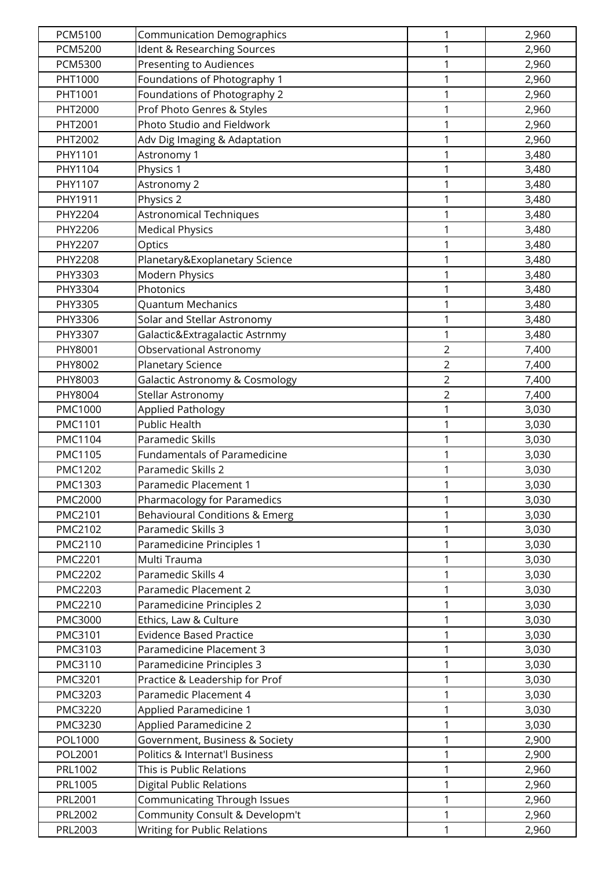| <b>PCM5100</b> | <b>Communication Demographics</b>         | 1              | 2,960 |
|----------------|-------------------------------------------|----------------|-------|
| <b>PCM5200</b> | Ident & Researching Sources               | $\mathbf{1}$   | 2,960 |
| <b>PCM5300</b> | <b>Presenting to Audiences</b>            | $\mathbf{1}$   | 2,960 |
| PHT1000        | Foundations of Photography 1              | $\mathbf{1}$   | 2,960 |
| PHT1001        | Foundations of Photography 2              | $\mathbf{1}$   | 2,960 |
| PHT2000        | Prof Photo Genres & Styles                | 1              | 2,960 |
| PHT2001        | Photo Studio and Fieldwork                | 1              | 2,960 |
| PHT2002        | Adv Dig Imaging & Adaptation              | $\mathbf{1}$   | 2,960 |
| PHY1101        | Astronomy 1                               | 1              | 3,480 |
| PHY1104        | Physics 1                                 | $\mathbf 1$    | 3,480 |
| PHY1107        | Astronomy 2                               | 1              | 3,480 |
| PHY1911        | Physics 2                                 | 1              | 3,480 |
| PHY2204        | <b>Astronomical Techniques</b>            | 1              | 3,480 |
| PHY2206        | <b>Medical Physics</b>                    | 1              | 3,480 |
| PHY2207        | Optics                                    | 1              | 3,480 |
| PHY2208        | Planetary&Exoplanetary Science            | $\mathbf{1}$   | 3,480 |
| PHY3303        | Modern Physics                            | $\mathbf{1}$   | 3,480 |
| PHY3304        | Photonics                                 | 1              | 3,480 |
| PHY3305        | <b>Quantum Mechanics</b>                  | 1              | 3,480 |
| PHY3306        | Solar and Stellar Astronomy               | 1              | 3,480 |
| PHY3307        | Galactic&Extragalactic Astrnmy            | $\mathbf{1}$   | 3,480 |
| PHY8001        | Observational Astronomy                   | $\overline{2}$ | 7,400 |
| PHY8002        | Planetary Science                         | $\overline{2}$ | 7,400 |
| PHY8003        | <b>Galactic Astronomy &amp; Cosmology</b> | $\overline{2}$ | 7,400 |
| PHY8004        | Stellar Astronomy                         | $\overline{2}$ | 7,400 |
| PMC1000        | <b>Applied Pathology</b>                  | 1              | 3,030 |
| PMC1101        | <b>Public Health</b>                      | $\mathbf{1}$   | 3,030 |
| PMC1104        | Paramedic Skills                          | $\mathbf{1}$   | 3,030 |
| PMC1105        | <b>Fundamentals of Paramedicine</b>       | 1              | 3,030 |
| <b>PMC1202</b> | Paramedic Skills 2                        | 1              | 3,030 |
| PMC1303        | Paramedic Placement 1                     | 1              | 3,030 |
| <b>PMC2000</b> | Pharmacology for Paramedics               | 1              | 3,030 |
| PMC2101        | Behavioural Conditions & Emerg            | 1              | 3,030 |
| PMC2102        | Paramedic Skills 3                        | 1              | 3,030 |
| PMC2110        | Paramedicine Principles 1                 | $\mathbf{1}$   | 3,030 |
| <b>PMC2201</b> | Multi Trauma                              | 1              | 3,030 |
| <b>PMC2202</b> | Paramedic Skills 4                        | 1              | 3,030 |
| <b>PMC2203</b> | Paramedic Placement 2                     | 1              | 3,030 |
| <b>PMC2210</b> | Paramedicine Principles 2                 | 1              | 3,030 |
| <b>PMC3000</b> | Ethics, Law & Culture                     | $\mathbf{1}$   | 3,030 |
| PMC3101        | <b>Evidence Based Practice</b>            | 1              | 3,030 |
| PMC3103        | Paramedicine Placement 3                  | $\mathbf{1}$   | 3,030 |
| PMC3110        | Paramedicine Principles 3                 | $\mathbf{1}$   | 3,030 |
| PMC3201        | Practice & Leadership for Prof            | 1              | 3,030 |
| PMC3203        | Paramedic Placement 4                     | 1              | 3,030 |
| <b>PMC3220</b> | Applied Paramedicine 1                    | 1              | 3,030 |
| PMC3230        | Applied Paramedicine 2                    | $\mathbf{1}$   | 3,030 |
| POL1000        | Government, Business & Society            | 1              | 2,900 |
| POL2001        | Politics & Internat'l Business            | 1              | 2,900 |
| PRL1002        | This is Public Relations                  | 1              | 2,960 |
| PRL1005        | <b>Digital Public Relations</b>           | 1              | 2,960 |
| PRL2001        | Communicating Through Issues              | 1              | 2,960 |
| PRL2002        | Community Consult & Developm't            | 1              | 2,960 |
| PRL2003        | <b>Writing for Public Relations</b>       | 1              | 2,960 |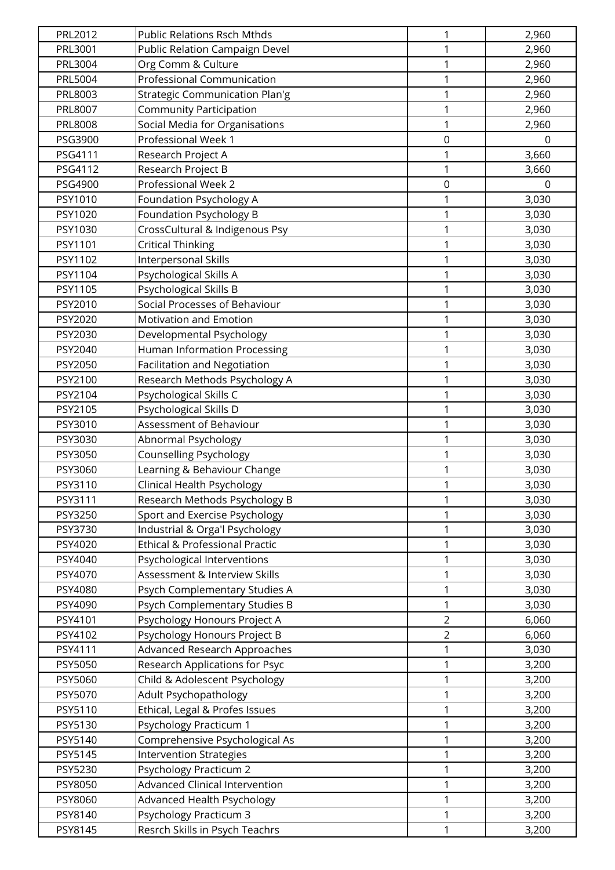| PRL2012        | <b>Public Relations Rsch Mthds</b>    | 1                | 2,960    |
|----------------|---------------------------------------|------------------|----------|
| PRL3001        | Public Relation Campaign Devel        | 1                | 2,960    |
| PRL3004        | Org Comm & Culture                    | 1                | 2,960    |
| PRL5004        | Professional Communication            | 1                | 2,960    |
| PRL8003        | <b>Strategic Communication Plan'g</b> | 1                | 2,960    |
| PRL8007        | <b>Community Participation</b>        | 1                | 2,960    |
| <b>PRL8008</b> | Social Media for Organisations        | 1                | 2,960    |
| PSG3900        | Professional Week 1                   | $\mathbf 0$      | $\Omega$ |
| PSG4111        | Research Project A                    | 1                | 3,660    |
| PSG4112        | Research Project B                    | 1                | 3,660    |
| PSG4900        | Professional Week 2                   | $\boldsymbol{0}$ | $\Omega$ |
| PSY1010        | Foundation Psychology A               | 1                | 3,030    |
| PSY1020        | Foundation Psychology B               | 1                | 3,030    |
| PSY1030        | CrossCultural & Indigenous Psy        | 1                | 3,030    |
| PSY1101        | <b>Critical Thinking</b>              | $\mathbf 1$      | 3,030    |
| PSY1102        | <b>Interpersonal Skills</b>           | 1                | 3,030    |
| PSY1104        | Psychological Skills A                | 1                | 3,030    |
| PSY1105        | Psychological Skills B                | 1                | 3,030    |
| PSY2010        | Social Processes of Behaviour         | 1                | 3,030    |
| PSY2020        | Motivation and Emotion                | 1                | 3,030    |
| PSY2030        | Developmental Psychology              | 1                | 3,030    |
| PSY2040        | <b>Human Information Processing</b>   | $\mathbf 1$      | 3,030    |
| PSY2050        | <b>Facilitation and Negotiation</b>   | 1                | 3,030    |
| PSY2100        | Research Methods Psychology A         | 1                | 3,030    |
| PSY2104        | Psychological Skills C                | 1                | 3,030    |
| PSY2105        | Psychological Skills D                | 1                | 3,030    |
| PSY3010        | Assessment of Behaviour               | $\mathbf 1$      | 3,030    |
| PSY3030        | Abnormal Psychology                   | $\mathbf 1$      | 3,030    |
| PSY3050        | Counselling Psychology                | 1                | 3,030    |
| PSY3060        | Learning & Behaviour Change           | 1                | 3,030    |
| PSY3110        | Clinical Health Psychology            | 1                | 3,030    |
| PSY3111        | Research Methods Psychology B         | 1                | 3,030    |
| PSY3250        | Sport and Exercise Psychology         | 1                | 3,030    |
| PSY3730        | Industrial & Orga'l Psychology        | 1                | 3,030    |
| PSY4020        | Ethical & Professional Practic        | 1                | 3,030    |
| PSY4040        | Psychological Interventions           | 1                | 3,030    |
| PSY4070        | Assessment & Interview Skills         | 1                | 3,030    |
| PSY4080        | Psych Complementary Studies A         | 1                | 3,030    |
| PSY4090        | Psych Complementary Studies B         | 1                | 3,030    |
| PSY4101        | Psychology Honours Project A          | $\overline{2}$   | 6,060    |
| PSY4102        | Psychology Honours Project B          | $\overline{2}$   | 6,060    |
| PSY4111        | Advanced Research Approaches          | 1                | 3,030    |
| PSY5050        | Research Applications for Psyc        | $\mathbf{1}$     | 3,200    |
| PSY5060        | Child & Adolescent Psychology         | 1                | 3,200    |
| PSY5070        | Adult Psychopathology                 | 1                | 3,200    |
| PSY5110        | Ethical, Legal & Profes Issues        | 1                | 3,200    |
| PSY5130        | Psychology Practicum 1                | 1                | 3,200    |
| PSY5140        | Comprehensive Psychological As        | 1                | 3,200    |
| PSY5145        | <b>Intervention Strategies</b>        | 1                | 3,200    |
| PSY5230        | Psychology Practicum 2                | 1                | 3,200    |
| PSY8050        | Advanced Clinical Intervention        | 1                | 3,200    |
| PSY8060        | Advanced Health Psychology            | 1                | 3,200    |
| PSY8140        | <b>Psychology Practicum 3</b>         | 1                | 3,200    |
| PSY8145        | Resrch Skills in Psych Teachrs        | 1                | 3,200    |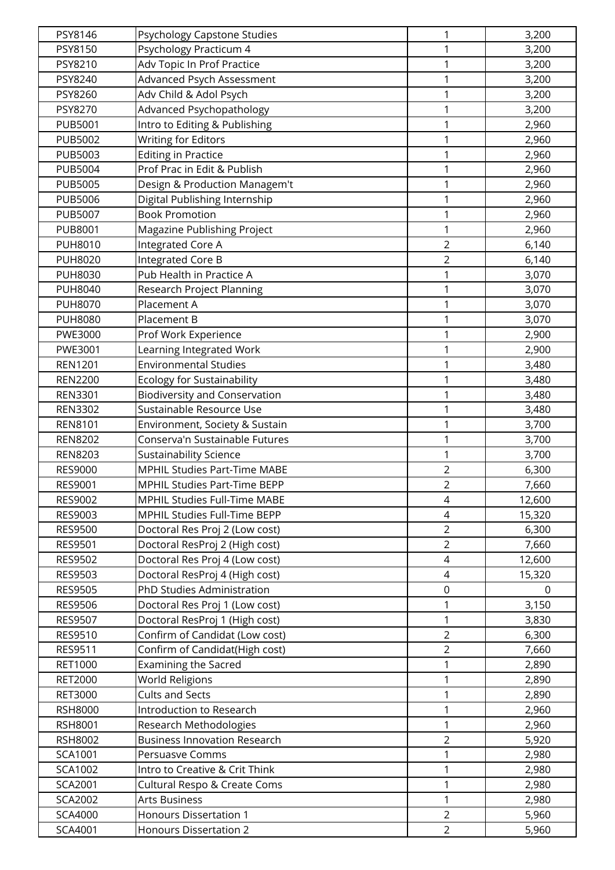| PSY8146                   | Psychology Capstone Studies                        | 1              | 3,200          |
|---------------------------|----------------------------------------------------|----------------|----------------|
| PSY8150                   | Psychology Practicum 4                             | 1              | 3,200          |
| PSY8210                   | Adv Topic In Prof Practice                         | $\mathbf{1}$   | 3,200          |
| PSY8240                   | Advanced Psych Assessment                          | 1              | 3,200          |
| PSY8260                   | Adv Child & Adol Psych                             | $\mathbf{1}$   | 3,200          |
| PSY8270                   | Advanced Psychopathology                           | 1              | 3,200          |
| <b>PUB5001</b>            | Intro to Editing & Publishing                      | 1              | 2,960          |
| <b>PUB5002</b>            | <b>Writing for Editors</b>                         | $\mathbf 1$    | 2,960          |
| <b>PUB5003</b>            | <b>Editing in Practice</b>                         | 1              | 2,960          |
| <b>PUB5004</b>            | Prof Prac in Edit & Publish                        | 1              | 2,960          |
| <b>PUB5005</b>            | Design & Production Managem't                      | 1              | 2,960          |
| <b>PUB5006</b>            | Digital Publishing Internship                      | 1              | 2,960          |
| <b>PUB5007</b>            | <b>Book Promotion</b>                              | 1              | 2,960          |
| <b>PUB8001</b>            | Magazine Publishing Project                        | 1              | 2,960          |
| <b>PUH8010</b>            | Integrated Core A                                  | $\overline{2}$ | 6,140          |
| <b>PUH8020</b>            | Integrated Core B                                  | $\overline{2}$ | 6,140          |
| <b>PUH8030</b>            | Pub Health in Practice A                           | 1              | 3,070          |
| <b>PUH8040</b>            | Research Project Planning                          | 1              | 3,070          |
| <b>PUH8070</b>            | Placement A                                        | 1              | 3,070          |
| <b>PUH8080</b>            | Placement B                                        | 1              | 3,070          |
| PWE3000                   | Prof Work Experience                               | 1              | 2,900          |
| PWE3001                   | Learning Integrated Work                           | $\mathbf{1}$   | 2,900          |
| <b>REN1201</b>            | <b>Environmental Studies</b>                       | 1              | 3,480          |
| <b>REN2200</b>            | <b>Ecology for Sustainability</b>                  | 1              | 3,480          |
| <b>REN3301</b>            | <b>Biodiversity and Conservation</b>               | 1              | 3,480          |
| <b>REN3302</b>            | Sustainable Resource Use                           | 1              | 3,480          |
| <b>REN8101</b>            | Environment, Society & Sustain                     | $\mathbf{1}$   | 3,700          |
| <b>REN8202</b>            | Conserva'n Sustainable Futures                     | $\mathbf 1$    | 3,700          |
| <b>REN8203</b>            | <b>Sustainability Science</b>                      | 1              | 3,700          |
| <b>RES9000</b>            | <b>MPHIL Studies Part-Time MABE</b>                | $\overline{2}$ | 6,300          |
| RES9001                   | <b>MPHIL Studies Part-Time BEPP</b>                | $\overline{2}$ | 7,660          |
| RES9002                   | MPHIL Studies Full-Time MABE                       | 4              | 12,600         |
| RES9003                   | MPHIL Studies Full-Time BEPP                       | $\overline{4}$ | 15,320         |
| <b>RES9500</b>            | Doctoral Res Proj 2 (Low cost)                     | $\overline{2}$ | 6,300          |
| RES9501                   | Doctoral ResProj 2 (High cost)                     | $\overline{2}$ | 7,660          |
| RES9502                   | Doctoral Res Proj 4 (Low cost)                     | $\overline{4}$ | 12,600         |
| RES9503                   | Doctoral ResProj 4 (High cost)                     | 4              | 15,320         |
| <b>RES9505</b>            | PhD Studies Administration                         | $\mathbf 0$    | $\mathbf 0$    |
| RES9506                   | Doctoral Res Proj 1 (Low cost)                     | 1              | 3,150          |
| RES9507                   | Doctoral ResProj 1 (High cost)                     | $\mathbf{1}$   | 3,830          |
| RES9510                   | Confirm of Candidat (Low cost)                     | $\overline{2}$ | 6,300          |
| RES9511                   | Confirm of Candidat(High cost)                     | $\overline{2}$ | 7,660          |
| RET1000                   | <b>Examining the Sacred</b>                        | $\mathbf{1}$   | 2,890          |
| <b>RET2000</b>            | World Religions                                    | 1              | 2,890          |
| RET3000<br><b>RSH8000</b> | <b>Cults and Sects</b><br>Introduction to Research | 1<br>1         | 2,890          |
| RSH8001                   | Research Methodologies                             | $\mathbf{1}$   | 2,960<br>2,960 |
| RSH8002                   | <b>Business Innovation Research</b>                | $\overline{2}$ |                |
| SCA1001                   | Persuasve Comms                                    | 1              | 5,920<br>2,980 |
| SCA1002                   | Intro to Creative & Crit Think                     | 1              | 2,980          |
| SCA2001                   | Cultural Respo & Create Coms                       | 1              | 2,980          |
| SCA2002                   | <b>Arts Business</b>                               | $\mathbf{1}$   | 2,980          |
| <b>SCA4000</b>            | <b>Honours Dissertation 1</b>                      | $\overline{2}$ | 5,960          |
| SCA4001                   | <b>Honours Dissertation 2</b>                      | $\overline{2}$ | 5,960          |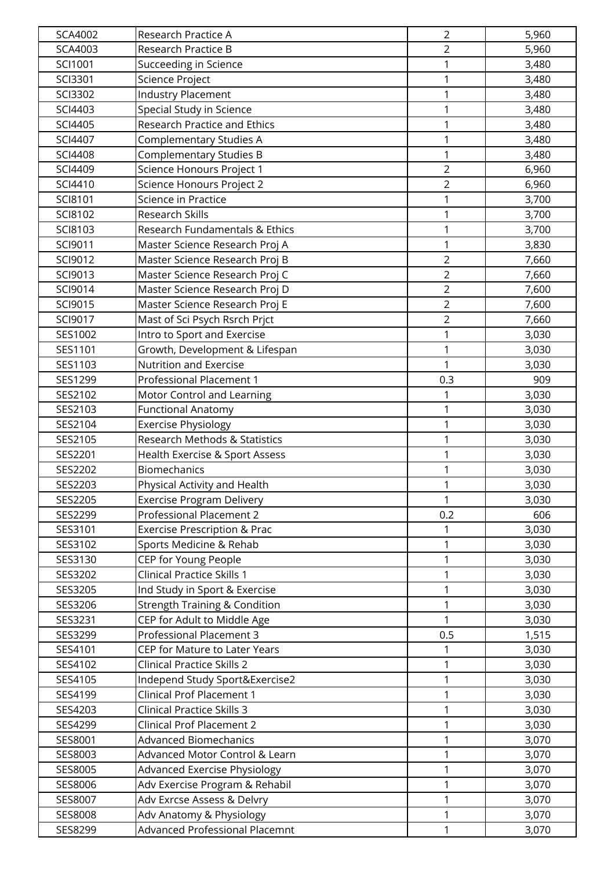| SCA4002        | Research Practice A                      | $\overline{2}$ | 5,960 |
|----------------|------------------------------------------|----------------|-------|
| SCA4003        | Research Practice B                      | $\overline{2}$ | 5,960 |
| SCI1001        | Succeeding in Science                    | 1              | 3,480 |
| SCI3301        | Science Project                          | $\mathbf{1}$   | 3,480 |
| SCI3302        | <b>Industry Placement</b>                | 1              | 3,480 |
| SCI4403        | Special Study in Science                 | 1              | 3,480 |
| SCI4405        | Research Practice and Ethics             | $\mathbf{1}$   | 3,480 |
| SCI4407        | <b>Complementary Studies A</b>           | $\mathbf{1}$   | 3,480 |
| <b>SCI4408</b> | <b>Complementary Studies B</b>           | $\mathbf{1}$   | 3,480 |
| SCI4409        | Science Honours Project 1                | $\overline{2}$ | 6,960 |
| SCI4410        | Science Honours Project 2                | $\overline{2}$ | 6,960 |
| SCI8101        | Science in Practice                      | 1              | 3,700 |
| SCI8102        | <b>Research Skills</b>                   | 1              | 3,700 |
| SCI8103        | Research Fundamentals & Ethics           | $\mathbf{1}$   | 3,700 |
| SCI9011        | Master Science Research Proj A           | $\mathbf{1}$   | 3,830 |
| SCI9012        | Master Science Research Proj B           | $\overline{2}$ | 7,660 |
| SCI9013        | Master Science Research Proj C           | $\overline{2}$ | 7,660 |
| SCI9014        | Master Science Research Proj D           | $\overline{2}$ | 7,600 |
| SCI9015        | Master Science Research Proj E           | $\overline{2}$ | 7,600 |
| SCI9017        | Mast of Sci Psych Rsrch Prjct            | $\overline{2}$ | 7,660 |
| SES1002        | Intro to Sport and Exercise              | 1              | 3,030 |
| SES1101        | Growth, Development & Lifespan           | $\mathbf{1}$   | 3,030 |
| SES1103        | Nutrition and Exercise                   | $\mathbf{1}$   | 3,030 |
| SES1299        | Professional Placement 1                 | 0.3            | 909   |
| SES2102        | Motor Control and Learning               | 1              | 3,030 |
| SES2103        | <b>Functional Anatomy</b>                | $\mathbf{1}$   | 3,030 |
| SES2104        | <b>Exercise Physiology</b>               | $\mathbf{1}$   | 3,030 |
| SES2105        | Research Methods & Statistics            | $\mathbf{1}$   | 3,030 |
| SES2201        | Health Exercise & Sport Assess           | $\mathbf{1}$   | 3,030 |
| SES2202        | <b>Biomechanics</b>                      | 1              | 3,030 |
| SES2203        | Physical Activity and Health             | 1              | 3,030 |
| SES2205        | <b>Exercise Program Delivery</b>         | 1              | 3,030 |
| SES2299        | Professional Placement 2                 | 0.2            | 606   |
| SES3101        | <b>Exercise Prescription &amp; Prac</b>  | 1              | 3,030 |
| SES3102        | Sports Medicine & Rehab                  | $\mathbf{1}$   | 3,030 |
| SES3130        | CEP for Young People                     | $\mathbf{1}$   | 3,030 |
| SES3202        | <b>Clinical Practice Skills 1</b>        | 1              | 3,030 |
| SES3205        | Ind Study in Sport & Exercise            | 1              | 3,030 |
| SES3206        | <b>Strength Training &amp; Condition</b> | $\mathbf{1}$   | 3,030 |
| SES3231        | CEP for Adult to Middle Age              | $\mathbf{1}$   | 3,030 |
| SES3299        | Professional Placement 3                 | 0.5            | 1,515 |
| SES4101        | CEP for Mature to Later Years            | 1              | 3,030 |
| SES4102        | <b>Clinical Practice Skills 2</b>        | 1              | 3,030 |
| SES4105        | Independ Study Sport&Exercise2           | 1              | 3,030 |
| SES4199        | <b>Clinical Prof Placement 1</b>         | $\mathbf{1}$   | 3,030 |
| SES4203        | <b>Clinical Practice Skills 3</b>        | $\mathbf{1}$   | 3,030 |
| SES4299        | Clinical Prof Placement 2                | 1              | 3,030 |
| SES8001        | <b>Advanced Biomechanics</b>             | $\mathbf{1}$   | 3,070 |
| SES8003        | Advanced Motor Control & Learn           | 1              | 3,070 |
| SES8005        | <b>Advanced Exercise Physiology</b>      | 1              | 3,070 |
| SES8006        | Adv Exercise Program & Rehabil           | 1              | 3,070 |
| SES8007        | Adv Exrcse Assess & Delvry               | 1              | 3,070 |
| SES8008        | Adv Anatomy & Physiology                 | $\mathbf{1}$   | 3,070 |
| SES8299        | <b>Advanced Professional Placemnt</b>    | 1              | 3,070 |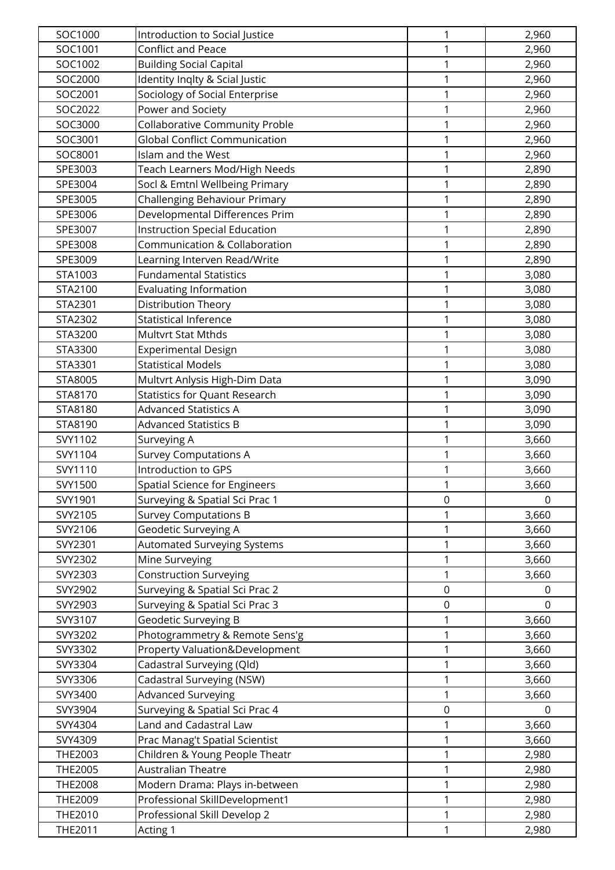| SOC1000        | Introduction to Social Justice       | 1                | 2,960          |
|----------------|--------------------------------------|------------------|----------------|
| SOC1001        | Conflict and Peace                   | 1                | 2,960          |
| SOC1002        | <b>Building Social Capital</b>       | 1                | 2,960          |
| SOC2000        | Identity Inqlty & Scial Justic       | 1                | 2,960          |
| SOC2001        | Sociology of Social Enterprise       | 1                | 2,960          |
| SOC2022        | Power and Society                    | 1                | 2,960          |
| SOC3000        | Collaborative Community Proble       | 1                | 2,960          |
| SOC3001        | <b>Global Conflict Communication</b> | 1                | 2,960          |
| SOC8001        | Islam and the West                   | 1                | 2,960          |
| SPE3003        | Teach Learners Mod/High Needs        | $\mathbf 1$      | 2,890          |
| SPE3004        | Socl & Emtnl Wellbeing Primary       | 1                | 2,890          |
| SPE3005        | Challenging Behaviour Primary        | 1                | 2,890          |
| SPE3006        | Developmental Differences Prim       | 1                | 2,890          |
| SPE3007        | <b>Instruction Special Education</b> | 1                | 2,890          |
| SPE3008        | Communication & Collaboration        | 1                | 2,890          |
| SPE3009        | Learning Interven Read/Write         | 1                | 2,890          |
| STA1003        | <b>Fundamental Statistics</b>        | 1                | 3,080          |
| STA2100        | <b>Evaluating Information</b>        | 1                | 3,080          |
| STA2301        | Distribution Theory                  | 1                | 3,080          |
| STA2302        | <b>Statistical Inference</b>         | 1                | 3,080          |
| STA3200        | Multvrt Stat Mthds                   | 1                | 3,080          |
| STA3300        | <b>Experimental Design</b>           | 1                | 3,080          |
| STA3301        | <b>Statistical Models</b>            | 1                | 3,080          |
| STA8005        | Multvrt Anlysis High-Dim Data        | 1                | 3,090          |
| STA8170        | <b>Statistics for Quant Research</b> | 1                | 3,090          |
| STA8180        | <b>Advanced Statistics A</b>         | 1                | 3,090          |
| STA8190        | <b>Advanced Statistics B</b>         | 1                | 3,090          |
| SVY1102        | Surveying A                          | 1                | 3,660          |
| SVY1104        | <b>Survey Computations A</b>         | 1                | 3,660          |
| SVY1110        | Introduction to GPS                  | 1                | 3,660          |
| SVY1500        | <b>Spatial Science for Engineers</b> | $\mathbf{1}$     | 3,660          |
| SVY1901        | Surveying & Spatial Sci Prac 1       | $\mathbf 0$      | $\overline{0}$ |
| SVY2105        | <b>Survey Computations B</b>         | 1                | 3,660          |
| SVY2106        | Geodetic Surveying A                 | 1                | 3,660          |
| SVY2301        | <b>Automated Surveying Systems</b>   | 1                | 3,660          |
| SVY2302        | Mine Surveying                       | 1                | 3,660          |
| SVY2303        | <b>Construction Surveying</b>        | 1                | 3,660          |
| SVY2902        | Surveying & Spatial Sci Prac 2       | $\mathbf 0$      | 0              |
| SVY2903        | Surveying & Spatial Sci Prac 3       | $\mathbf 0$      | $\Omega$       |
| SVY3107        | Geodetic Surveying B                 | 1                | 3,660          |
| SVY3202        | Photogrammetry & Remote Sens'g       | 1                | 3,660          |
| SVY3302        | Property Valuation&Development       | 1                | 3,660          |
| SVY3304        | Cadastral Surveying (Qld)            | 1                | 3,660          |
| SVY3306        | Cadastral Surveying (NSW)            | 1                | 3,660          |
| SVY3400        | <b>Advanced Surveying</b>            | 1                | 3,660          |
| SVY3904        | Surveying & Spatial Sci Prac 4       | $\boldsymbol{0}$ | 0              |
| SVY4304        | Land and Cadastral Law               | 1                | 3,660          |
| SVY4309        | Prac Manag't Spatial Scientist       | 1                | 3,660          |
| THE2003        | Children & Young People Theatr       | 1                | 2,980          |
| <b>THE2005</b> | <b>Australian Theatre</b>            | 1                | 2,980          |
| <b>THE2008</b> | Modern Drama: Plays in-between       | 1                | 2,980          |
| THE2009        | Professional SkillDevelopment1       | 1                | 2,980          |
| THE2010        | Professional Skill Develop 2         | 1                | 2,980          |
| THE2011        | Acting 1                             | $\mathbf 1$      | 2,980          |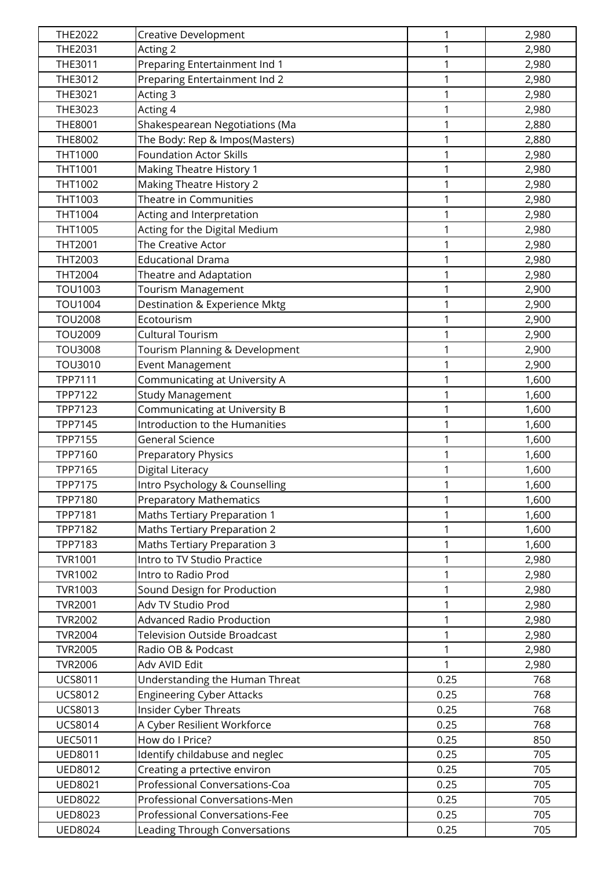| THE2022        | <b>Creative Development</b>         | 1            | 2,980 |
|----------------|-------------------------------------|--------------|-------|
| THE2031        | Acting 2                            | 1            | 2,980 |
| THE3011        | Preparing Entertainment Ind 1       | 1            | 2,980 |
| THE3012        | Preparing Entertainment Ind 2       | 1            | 2,980 |
| THE3021        | Acting 3                            | 1            | 2,980 |
| THE3023        | Acting 4                            | 1            | 2,980 |
| THE8001        | Shakespearean Negotiations (Ma      | 1            | 2,880 |
| THE8002        | The Body: Rep & Impos(Masters)      | 1            | 2,880 |
| THT1000        | <b>Foundation Actor Skills</b>      | 1            | 2,980 |
| THT1001        | Making Theatre History 1            | 1            | 2,980 |
| THT1002        | <b>Making Theatre History 2</b>     | 1            | 2,980 |
| THT1003        | Theatre in Communities              | $\mathbf{1}$ | 2,980 |
| THT1004        | Acting and Interpretation           | 1            | 2,980 |
| THT1005        | Acting for the Digital Medium       | 1            | 2,980 |
| THT2001        | The Creative Actor                  | 1            | 2,980 |
| THT2003        | <b>Educational Drama</b>            | 1            | 2,980 |
| THT2004        | Theatre and Adaptation              | 1            | 2,980 |
| <b>TOU1003</b> | Tourism Management                  | $\mathbf 1$  | 2,900 |
| <b>TOU1004</b> | Destination & Experience Mktg       | $\mathbf 1$  | 2,900 |
| <b>TOU2008</b> | Ecotourism                          | 1            | 2,900 |
| <b>TOU2009</b> | <b>Cultural Tourism</b>             | 1            | 2,900 |
| <b>TOU3008</b> | Tourism Planning & Development      | 1            | 2,900 |
| TOU3010        | Event Management                    | 1            | 2,900 |
| TPP7111        | Communicating at University A       | 1            | 1,600 |
| TPP7122        | <b>Study Management</b>             | 1            | 1,600 |
| TPP7123        | Communicating at University B       | 1            | 1,600 |
| TPP7145        | Introduction to the Humanities      | 1            | 1,600 |
| TPP7155        | <b>General Science</b>              | 1            | 1,600 |
| TPP7160        | <b>Preparatory Physics</b>          | 1            | 1,600 |
| TPP7165        | Digital Literacy                    | 1            | 1,600 |
| TPP7175        | Intro Psychology & Counselling      | $\mathbf{1}$ | 1,600 |
| TPP7180        | <b>Preparatory Mathematics</b>      | 1            | 1,600 |
| TPP7181        | Maths Tertiary Preparation 1        | 1            | 1,600 |
| TPP7182        | Maths Tertiary Preparation 2        | $\mathbf{1}$ | 1,600 |
| TPP7183        | Maths Tertiary Preparation 3        | 1            | 1,600 |
| <b>TVR1001</b> | Intro to TV Studio Practice         | 1            | 2,980 |
| <b>TVR1002</b> | Intro to Radio Prod                 | $\mathbf 1$  | 2,980 |
| TVR1003        | Sound Design for Production         | $\mathbf{1}$ | 2,980 |
| <b>TVR2001</b> | Adv TV Studio Prod                  | $\mathbf{1}$ | 2,980 |
| <b>TVR2002</b> | <b>Advanced Radio Production</b>    | 1            | 2,980 |
| <b>TVR2004</b> | <b>Television Outside Broadcast</b> | 1            | 2,980 |
| <b>TVR2005</b> | Radio OB & Podcast                  | 1            | 2,980 |
| <b>TVR2006</b> | Adv AVID Edit                       | 1            | 2,980 |
| <b>UCS8011</b> | Understanding the Human Threat      | 0.25         | 768   |
| <b>UCS8012</b> | <b>Engineering Cyber Attacks</b>    | 0.25         | 768   |
| <b>UCS8013</b> | <b>Insider Cyber Threats</b>        | 0.25         | 768   |
| <b>UCS8014</b> | A Cyber Resilient Workforce         | 0.25         | 768   |
| <b>UEC5011</b> | How do I Price?                     | 0.25         | 850   |
| <b>UED8011</b> | Identify childabuse and neglec      | 0.25         | 705   |
| <b>UED8012</b> | Creating a prtective environ        | 0.25         | 705   |
| <b>UED8021</b> | Professional Conversations-Coa      | 0.25         | 705   |
| <b>UED8022</b> | Professional Conversations-Men      | 0.25         | 705   |
| <b>UED8023</b> | Professional Conversations-Fee      | 0.25         | 705   |
| <b>UED8024</b> | Leading Through Conversations       | 0.25         | 705   |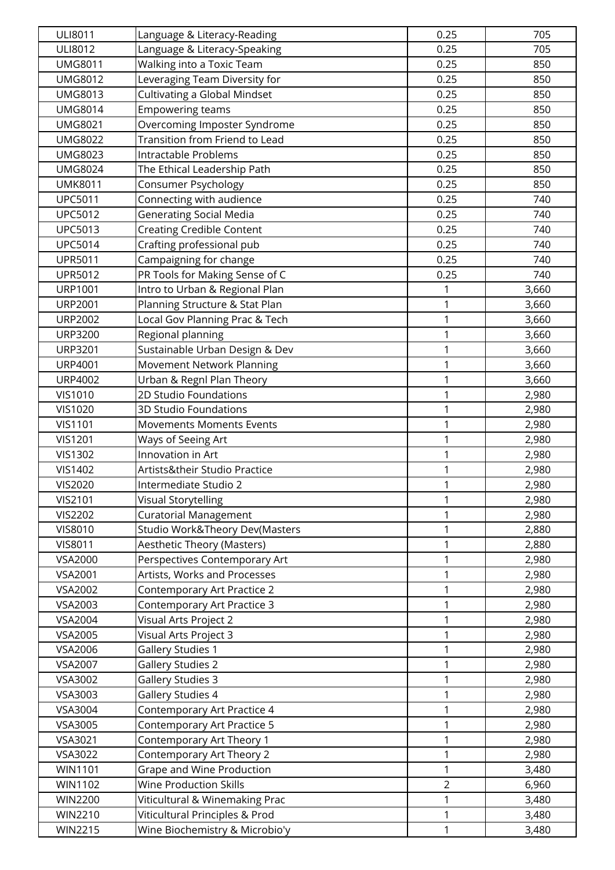| ULI8011        | Language & Literacy-Reading         | 0.25           | 705   |
|----------------|-------------------------------------|----------------|-------|
| <b>ULI8012</b> | Language & Literacy-Speaking        | 0.25           | 705   |
| <b>UMG8011</b> | Walking into a Toxic Team           | 0.25           | 850   |
| <b>UMG8012</b> | Leveraging Team Diversity for       | 0.25           | 850   |
| <b>UMG8013</b> | <b>Cultivating a Global Mindset</b> | 0.25           | 850   |
| <b>UMG8014</b> | <b>Empowering teams</b>             | 0.25           | 850   |
| <b>UMG8021</b> | Overcoming Imposter Syndrome        | 0.25           | 850   |
| <b>UMG8022</b> | Transition from Friend to Lead      | 0.25           | 850   |
| <b>UMG8023</b> | <b>Intractable Problems</b>         | 0.25           | 850   |
| <b>UMG8024</b> | The Ethical Leadership Path         | 0.25           | 850   |
| <b>UMK8011</b> | Consumer Psychology                 | 0.25           | 850   |
| <b>UPC5011</b> | Connecting with audience            | 0.25           | 740   |
| <b>UPC5012</b> | <b>Generating Social Media</b>      | 0.25           | 740   |
| <b>UPC5013</b> | <b>Creating Credible Content</b>    | 0.25           | 740   |
| <b>UPC5014</b> | Crafting professional pub           | 0.25           | 740   |
| <b>UPR5011</b> | Campaigning for change              | 0.25           | 740   |
| <b>UPR5012</b> | PR Tools for Making Sense of C      | 0.25           | 740   |
| <b>URP1001</b> | Intro to Urban & Regional Plan      | 1              | 3,660 |
| <b>URP2001</b> | Planning Structure & Stat Plan      | 1              | 3,660 |
| <b>URP2002</b> | Local Gov Planning Prac & Tech      | 1              | 3,660 |
| <b>URP3200</b> | Regional planning                   | 1              | 3,660 |
| <b>URP3201</b> | Sustainable Urban Design & Dev      | 1              | 3,660 |
| <b>URP4001</b> | Movement Network Planning           | 1              | 3,660 |
| <b>URP4002</b> | Urban & Regnl Plan Theory           | 1              | 3,660 |
| <b>VIS1010</b> | 2D Studio Foundations               | 1              | 2,980 |
| <b>VIS1020</b> | 3D Studio Foundations               | 1              | 2,980 |
| <b>VIS1101</b> | <b>Movements Moments Events</b>     | 1              | 2,980 |
| <b>VIS1201</b> | Ways of Seeing Art                  | $\mathbf{1}$   | 2,980 |
| <b>VIS1302</b> | <b>Innovation in Art</b>            | 1              | 2,980 |
| <b>VIS1402</b> | Artists&their Studio Practice       | 1              | 2,980 |
| <b>VIS2020</b> | Intermediate Studio 2               | 1              | 2,980 |
| <b>VIS2101</b> | Visual Storytelling                 | 1              | 2,980 |
| <b>VIS2202</b> | <b>Curatorial Management</b>        | 1              | 2,980 |
| <b>VIS8010</b> | Studio Work&Theory Dev(Masters      | $\mathbf 1$    | 2,880 |
| <b>VIS8011</b> | <b>Aesthetic Theory (Masters)</b>   | 1              | 2,880 |
| <b>VSA2000</b> | Perspectives Contemporary Art       | 1              | 2,980 |
| VSA2001        | Artists, Works and Processes        | 1              | 2,980 |
| VSA2002        | Contemporary Art Practice 2         | 1              | 2,980 |
| VSA2003        | Contemporary Art Practice 3         | 1              | 2,980 |
| VSA2004        | Visual Arts Project 2               | 1              | 2,980 |
| VSA2005        | Visual Arts Project 3               | 1              | 2,980 |
| VSA2006        | <b>Gallery Studies 1</b>            | 1              | 2,980 |
| <b>VSA2007</b> | <b>Gallery Studies 2</b>            | 1              | 2,980 |
| VSA3002        | <b>Gallery Studies 3</b>            | 1              | 2,980 |
| VSA3003        | Gallery Studies 4                   | 1              | 2,980 |
| VSA3004        | Contemporary Art Practice 4         | 1              | 2,980 |
| VSA3005        | Contemporary Art Practice 5         | 1              | 2,980 |
| VSA3021        | Contemporary Art Theory 1           | 1              | 2,980 |
| VSA3022        | Contemporary Art Theory 2           | 1              | 2,980 |
| <b>WIN1101</b> | Grape and Wine Production           | 1              | 3,480 |
| WIN1102        | <b>Wine Production Skills</b>       | $\overline{2}$ | 6,960 |
| <b>WIN2200</b> | Viticultural & Winemaking Prac      | 1              | 3,480 |
| <b>WIN2210</b> | Viticultural Principles & Prod      | 1              | 3,480 |
| <b>WIN2215</b> | Wine Biochemistry & Microbio'y      | $\mathbf 1$    | 3,480 |